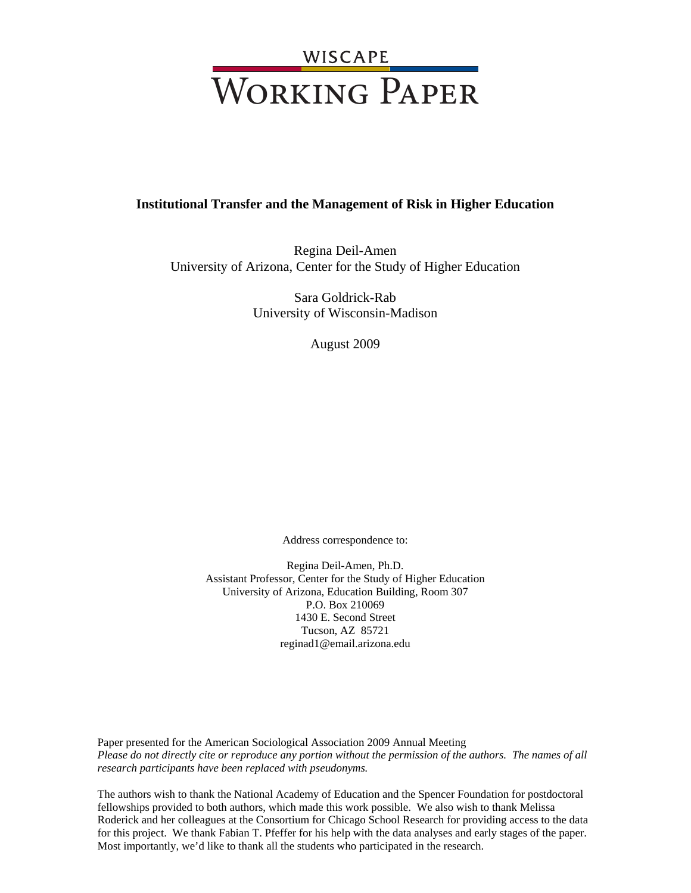# WISCAPE<br>WORKING PAPER

#### **Institutional Transfer and the Management of Risk in Higher Education**

Regina Deil-Amen University of Arizona, Center for the Study of Higher Education

> Sara Goldrick-Rab University of Wisconsin-Madison

> > August 2009

Address correspondence to:

Regina Deil-Amen, Ph.D. Assistant Professor, Center for the Study of Higher Education University of Arizona, Education Building, Room 307 P.O. Box 210069 1430 E. Second Street Tucson, AZ 85721 reginad1@email.arizona.edu

Paper presented for the American Sociological Association 2009 Annual Meeting *Please do not directly cite or reproduce any portion without the permission of the authors. The names of all research participants have been replaced with pseudonyms.* 

The authors wish to thank the National Academy of Education and the Spencer Foundation for postdoctoral fellowships provided to both authors, which made this work possible. We also wish to thank Melissa Roderick and her colleagues at the Consortium for Chicago School Research for providing access to the data for this project. We thank Fabian T. Pfeffer for his help with the data analyses and early stages of the paper. Most importantly, we'd like to thank all the students who participated in the research.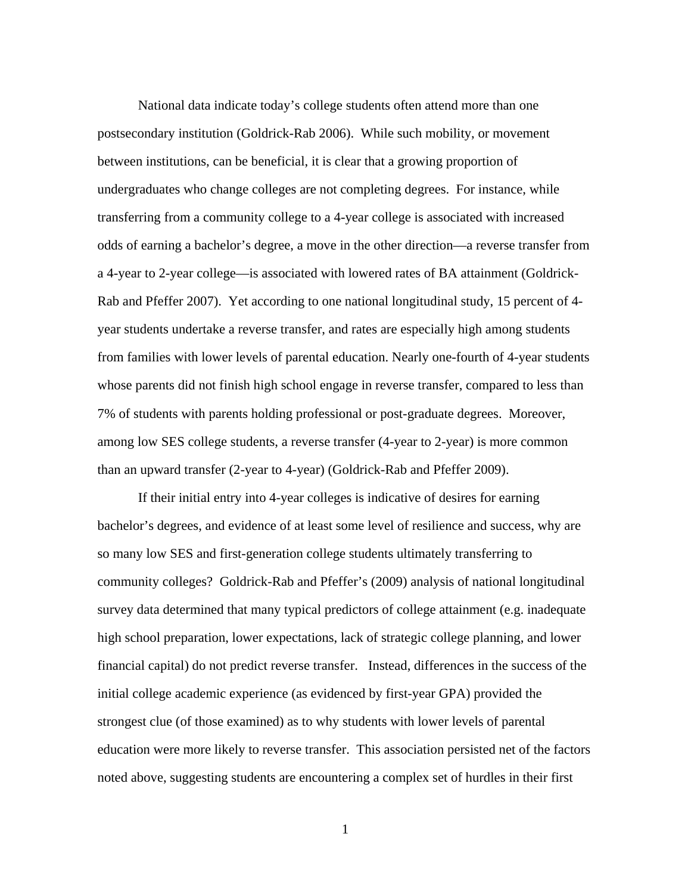National data indicate today's college students often attend more than one postsecondary institution (Goldrick-Rab 2006). While such mobility, or movement between institutions, can be beneficial, it is clear that a growing proportion of undergraduates who change colleges are not completing degrees. For instance, while transferring from a community college to a 4-year college is associated with increased odds of earning a bachelor's degree, a move in the other direction—a reverse transfer from a 4-year to 2-year college—is associated with lowered rates of BA attainment (Goldrick-Rab and Pfeffer 2007). Yet according to one national longitudinal study, 15 percent of 4 year students undertake a reverse transfer, and rates are especially high among students from families with lower levels of parental education. Nearly one-fourth of 4-year students whose parents did not finish high school engage in reverse transfer, compared to less than 7% of students with parents holding professional or post-graduate degrees. Moreover, among low SES college students, a reverse transfer (4-year to 2-year) is more common than an upward transfer (2-year to 4-year) (Goldrick-Rab and Pfeffer 2009).

If their initial entry into 4-year colleges is indicative of desires for earning bachelor's degrees, and evidence of at least some level of resilience and success, why are so many low SES and first-generation college students ultimately transferring to community colleges? Goldrick-Rab and Pfeffer's (2009) analysis of national longitudinal survey data determined that many typical predictors of college attainment (e.g. inadequate high school preparation, lower expectations, lack of strategic college planning, and lower financial capital) do not predict reverse transfer. Instead, differences in the success of the initial college academic experience (as evidenced by first-year GPA) provided the strongest clue (of those examined) as to why students with lower levels of parental education were more likely to reverse transfer. This association persisted net of the factors noted above, suggesting students are encountering a complex set of hurdles in their first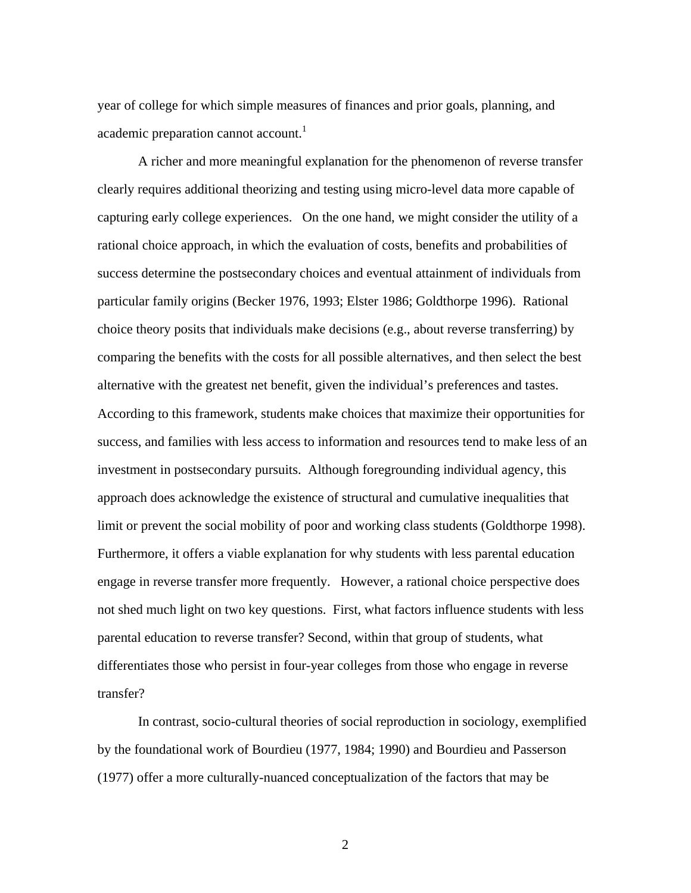year of college for which simple measures of finances and prior goals, planning, and academic preparation cannot account.<sup>1</sup>

 A richer and more meaningful explanation for the phenomenon of reverse transfer clearly requires additional theorizing and testing using micro-level data more capable of capturing early college experiences. On the one hand, we might consider the utility of a rational choice approach, in which the evaluation of costs, benefits and probabilities of success determine the postsecondary choices and eventual attainment of individuals from particular family origins (Becker 1976, 1993; Elster 1986; Goldthorpe 1996). Rational choice theory posits that individuals make decisions (e.g., about reverse transferring) by comparing the benefits with the costs for all possible alternatives, and then select the best alternative with the greatest net benefit, given the individual's preferences and tastes. According to this framework, students make choices that maximize their opportunities for success, and families with less access to information and resources tend to make less of an investment in postsecondary pursuits. Although foregrounding individual agency, this approach does acknowledge the existence of structural and cumulative inequalities that limit or prevent the social mobility of poor and working class students (Goldthorpe 1998). Furthermore, it offers a viable explanation for why students with less parental education engage in reverse transfer more frequently. However, a rational choice perspective does not shed much light on two key questions. First, what factors influence students with less parental education to reverse transfer? Second, within that group of students, what differentiates those who persist in four-year colleges from those who engage in reverse transfer?

In contrast, socio-cultural theories of social reproduction in sociology, exemplified by the foundational work of Bourdieu (1977, 1984; 1990) and Bourdieu and Passerson (1977) offer a more culturally-nuanced conceptualization of the factors that may be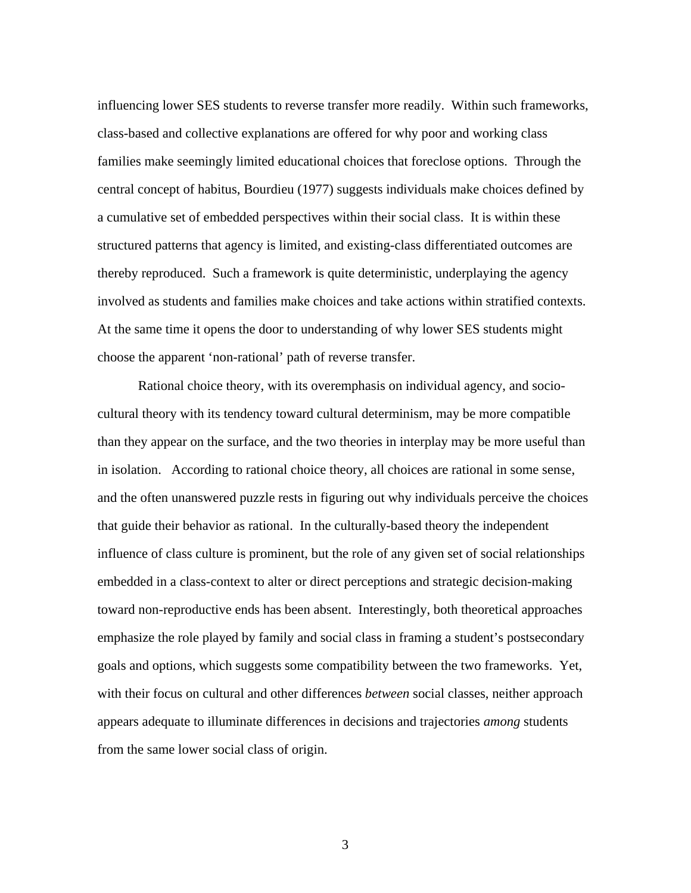influencing lower SES students to reverse transfer more readily. Within such frameworks, class-based and collective explanations are offered for why poor and working class families make seemingly limited educational choices that foreclose options. Through the central concept of habitus, Bourdieu (1977) suggests individuals make choices defined by a cumulative set of embedded perspectives within their social class. It is within these structured patterns that agency is limited, and existing-class differentiated outcomes are thereby reproduced. Such a framework is quite deterministic, underplaying the agency involved as students and families make choices and take actions within stratified contexts. At the same time it opens the door to understanding of why lower SES students might choose the apparent 'non-rational' path of reverse transfer.

Rational choice theory, with its overemphasis on individual agency, and sociocultural theory with its tendency toward cultural determinism, may be more compatible than they appear on the surface, and the two theories in interplay may be more useful than in isolation. According to rational choice theory, all choices are rational in some sense, and the often unanswered puzzle rests in figuring out why individuals perceive the choices that guide their behavior as rational. In the culturally-based theory the independent influence of class culture is prominent, but the role of any given set of social relationships embedded in a class-context to alter or direct perceptions and strategic decision-making toward non-reproductive ends has been absent. Interestingly, both theoretical approaches emphasize the role played by family and social class in framing a student's postsecondary goals and options, which suggests some compatibility between the two frameworks. Yet, with their focus on cultural and other differences *between* social classes, neither approach appears adequate to illuminate differences in decisions and trajectories *among* students from the same lower social class of origin.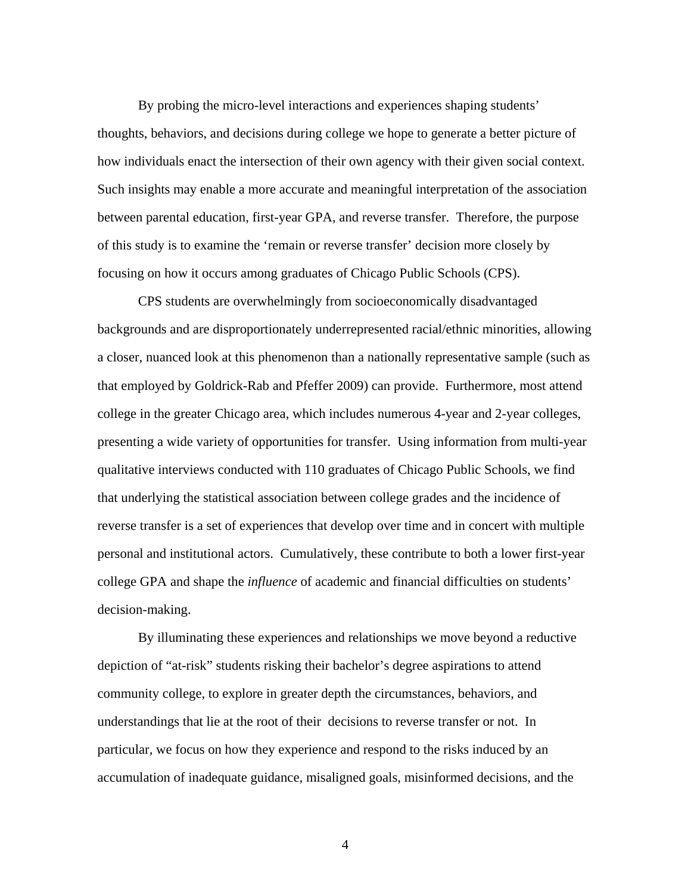By probing the micro-level interactions and experiences shaping students' thoughts, behaviors, and decisions during college we hope to generate a better picture of how individuals enact the intersection of their own agency with their given social context. Such insights may enable a more accurate and meaningful interpretation of the association between parental education, first-year GPA, and reverse transfer. Therefore, the purpose of this study is to examine the 'remain or reverse transfer' decision more closely by focusing on how it occurs among graduates of Chicago Public Schools (CPS).

CPS students are overwhelmingly from socioeconomically disadvantaged backgrounds and are disproportionately underrepresented racial/ethnic minorities, allowing a closer, nuanced look at this phenomenon than a nationally representative sample (such as that employed by Goldrick-Rab and Pfeffer 2009) can provide. Furthermore, most attend college in the greater Chicago area, which includes numerous 4-year and 2-year colleges, presenting a wide variety of opportunities for transfer. Using information from multi-year qualitative interviews conducted with 110 graduates of Chicago Public Schools, we find that underlying the statistical association between college grades and the incidence of reverse transfer is a set of experiences that develop over time and in concert with multiple personal and institutional actors. Cumulatively, these contribute to both a lower first-year college GPA and shape the *influence* of academic and financial difficulties on students' decision-making.

By illuminating these experiences and relationships we move beyond a reductive depiction of "at-risk" students risking their bachelor's degree aspirations to attend community college, to explore in greater depth the circumstances, behaviors, and understandings that lie at the root of their decisions to reverse transfer or not. In particular, we focus on how they experience and respond to the risks induced by an accumulation of inadequate guidance, misaligned goals, misinformed decisions, and the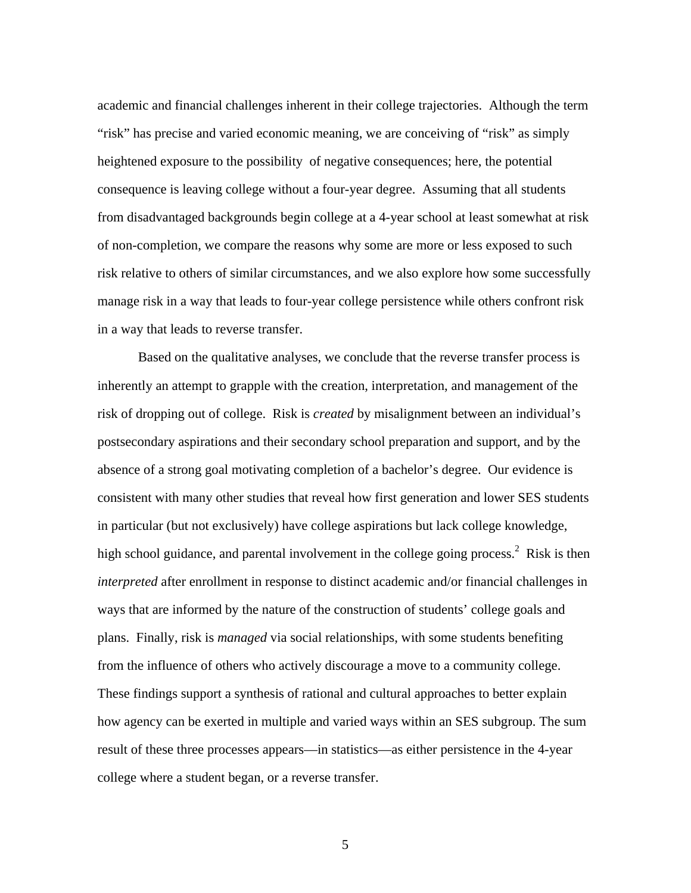academic and financial challenges inherent in their college trajectories. Although the term "risk" has precise and varied economic meaning, we are conceiving of "risk" as simply heightened exposure to the possibility of negative consequences; here, the potential consequence is leaving college without a four-year degree. Assuming that all students from disadvantaged backgrounds begin college at a 4-year school at least somewhat at risk of non-completion, we compare the reasons why some are more or less exposed to such risk relative to others of similar circumstances, and we also explore how some successfully manage risk in a way that leads to four-year college persistence while others confront risk in a way that leads to reverse transfer.

Based on the qualitative analyses, we conclude that the reverse transfer process is inherently an attempt to grapple with the creation, interpretation, and management of the risk of dropping out of college. Risk is *created* by misalignment between an individual's postsecondary aspirations and their secondary school preparation and support, and by the absence of a strong goal motivating completion of a bachelor's degree. Our evidence is consistent with many other studies that reveal how first generation and lower SES students in particular (but not exclusively) have college aspirations but lack college knowledge, high school guidance, and parental involvement in the college going process.<sup>2</sup> Risk is then *interpreted* after enrollment in response to distinct academic and/or financial challenges in ways that are informed by the nature of the construction of students' college goals and plans. Finally, risk is *managed* via social relationships, with some students benefiting from the influence of others who actively discourage a move to a community college. These findings support a synthesis of rational and cultural approaches to better explain how agency can be exerted in multiple and varied ways within an SES subgroup. The sum result of these three processes appears—in statistics—as either persistence in the 4-year college where a student began, or a reverse transfer.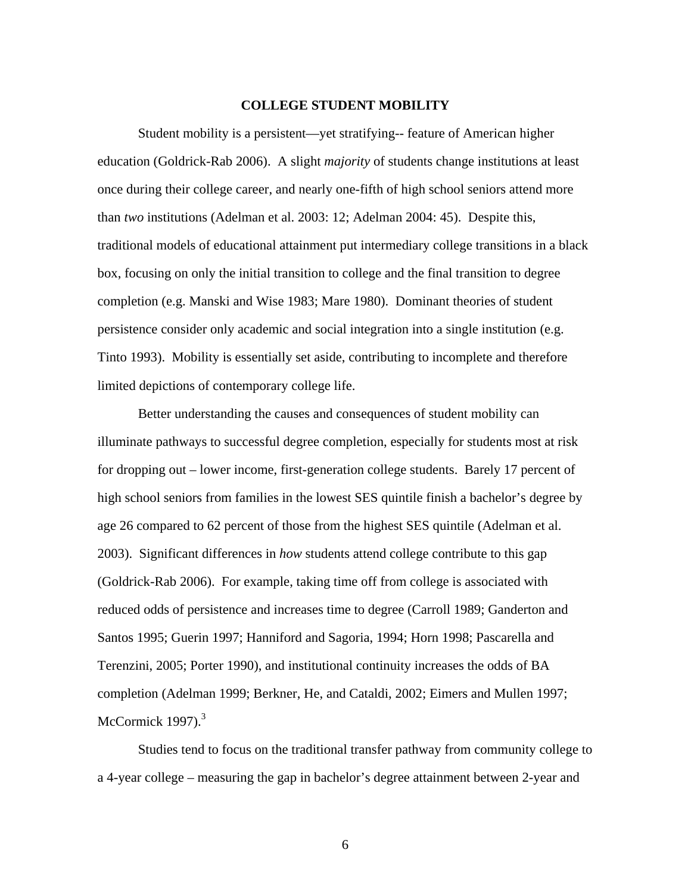#### **COLLEGE STUDENT MOBILITY**

Student mobility is a persistent—yet stratifying-- feature of American higher education (Goldrick-Rab 2006). A slight *majority* of students change institutions at least once during their college career, and nearly one-fifth of high school seniors attend more than *two* institutions (Adelman et al. 2003: 12; Adelman 2004: 45). Despite this, traditional models of educational attainment put intermediary college transitions in a black box, focusing on only the initial transition to college and the final transition to degree completion (e.g. Manski and Wise 1983; Mare 1980). Dominant theories of student persistence consider only academic and social integration into a single institution (e.g. Tinto 1993). Mobility is essentially set aside, contributing to incomplete and therefore limited depictions of contemporary college life.

Better understanding the causes and consequences of student mobility can illuminate pathways to successful degree completion, especially for students most at risk for dropping out – lower income, first-generation college students. Barely 17 percent of high school seniors from families in the lowest SES quintile finish a bachelor's degree by age 26 compared to 62 percent of those from the highest SES quintile (Adelman et al. 2003). Significant differences in *how* students attend college contribute to this gap (Goldrick-Rab 2006). For example, taking time off from college is associated with reduced odds of persistence and increases time to degree (Carroll 1989; Ganderton and Santos 1995; Guerin 1997; Hanniford and Sagoria, 1994; Horn 1998; Pascarella and Terenzini, 2005; Porter 1990), and institutional continuity increases the odds of BA completion (Adelman 1999; Berkner, He, and Cataldi, 2002; Eimers and Mullen 1997; McCormick  $1997$ ).<sup>3</sup>

Studies tend to focus on the traditional transfer pathway from community college to a 4-year college – measuring the gap in bachelor's degree attainment between 2-year and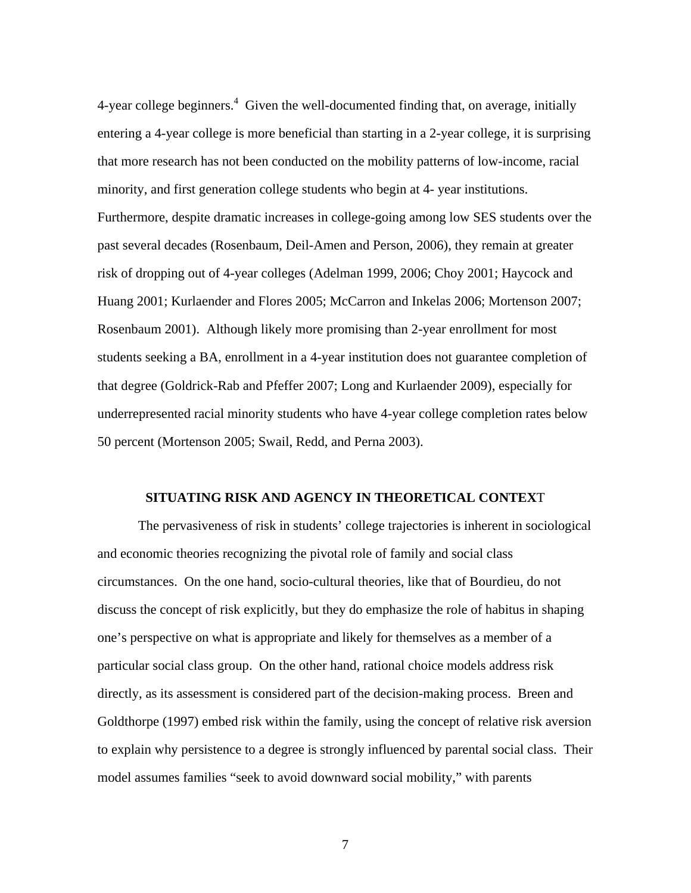4-year college beginners. $4$  Given the well-documented finding that, on average, initially entering a 4-year college is more beneficial than starting in a 2-year college, it is surprising that more research has not been conducted on the mobility patterns of low-income, racial minority, and first generation college students who begin at 4- year institutions. Furthermore, despite dramatic increases in college-going among low SES students over the past several decades (Rosenbaum, Deil-Amen and Person, 2006), they remain at greater risk of dropping out of 4-year colleges (Adelman 1999, 2006; Choy 2001; Haycock and Huang 2001; Kurlaender and Flores 2005; McCarron and Inkelas 2006; Mortenson 2007; Rosenbaum 2001). Although likely more promising than 2-year enrollment for most students seeking a BA, enrollment in a 4-year institution does not guarantee completion of that degree (Goldrick-Rab and Pfeffer 2007; Long and Kurlaender 2009), especially for underrepresented racial minority students who have 4-year college completion rates below 50 percent (Mortenson 2005; Swail, Redd, and Perna 2003).

#### **SITUATING RISK AND AGENCY IN THEORETICAL CONTEX**T

The pervasiveness of risk in students' college trajectories is inherent in sociological and economic theories recognizing the pivotal role of family and social class circumstances. On the one hand, socio-cultural theories, like that of Bourdieu, do not discuss the concept of risk explicitly, but they do emphasize the role of habitus in shaping one's perspective on what is appropriate and likely for themselves as a member of a particular social class group. On the other hand, rational choice models address risk directly, as its assessment is considered part of the decision-making process. Breen and Goldthorpe (1997) embed risk within the family, using the concept of relative risk aversion to explain why persistence to a degree is strongly influenced by parental social class. Their model assumes families "seek to avoid downward social mobility," with parents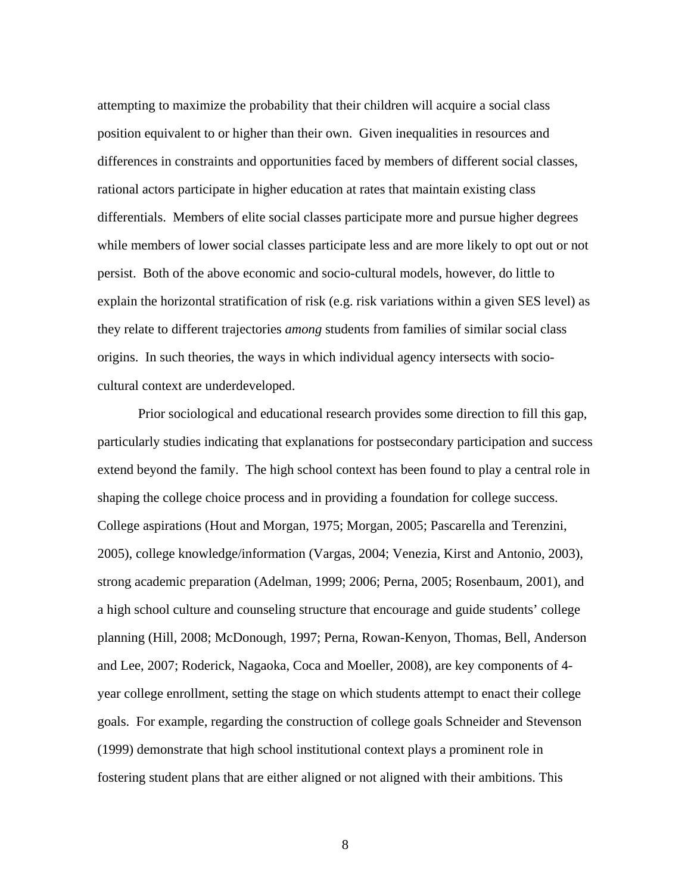attempting to maximize the probability that their children will acquire a social class position equivalent to or higher than their own. Given inequalities in resources and differences in constraints and opportunities faced by members of different social classes, rational actors participate in higher education at rates that maintain existing class differentials. Members of elite social classes participate more and pursue higher degrees while members of lower social classes participate less and are more likely to opt out or not persist. Both of the above economic and socio-cultural models, however, do little to explain the horizontal stratification of risk (e.g. risk variations within a given SES level) as they relate to different trajectories *among* students from families of similar social class origins. In such theories, the ways in which individual agency intersects with sociocultural context are underdeveloped.

Prior sociological and educational research provides some direction to fill this gap, particularly studies indicating that explanations for postsecondary participation and success extend beyond the family. The high school context has been found to play a central role in shaping the college choice process and in providing a foundation for college success. College aspirations (Hout and Morgan, 1975; Morgan, 2005; Pascarella and Terenzini, 2005), college knowledge/information (Vargas, 2004; Venezia, Kirst and Antonio, 2003), strong academic preparation (Adelman, 1999; 2006; Perna, 2005; Rosenbaum, 2001), and a high school culture and counseling structure that encourage and guide students' college planning (Hill, 2008; McDonough, 1997; Perna, Rowan-Kenyon, Thomas, Bell, Anderson and Lee, 2007; Roderick, Nagaoka, Coca and Moeller, 2008), are key components of 4 year college enrollment, setting the stage on which students attempt to enact their college goals. For example, regarding the construction of college goals Schneider and Stevenson (1999) demonstrate that high school institutional context plays a prominent role in fostering student plans that are either aligned or not aligned with their ambitions. This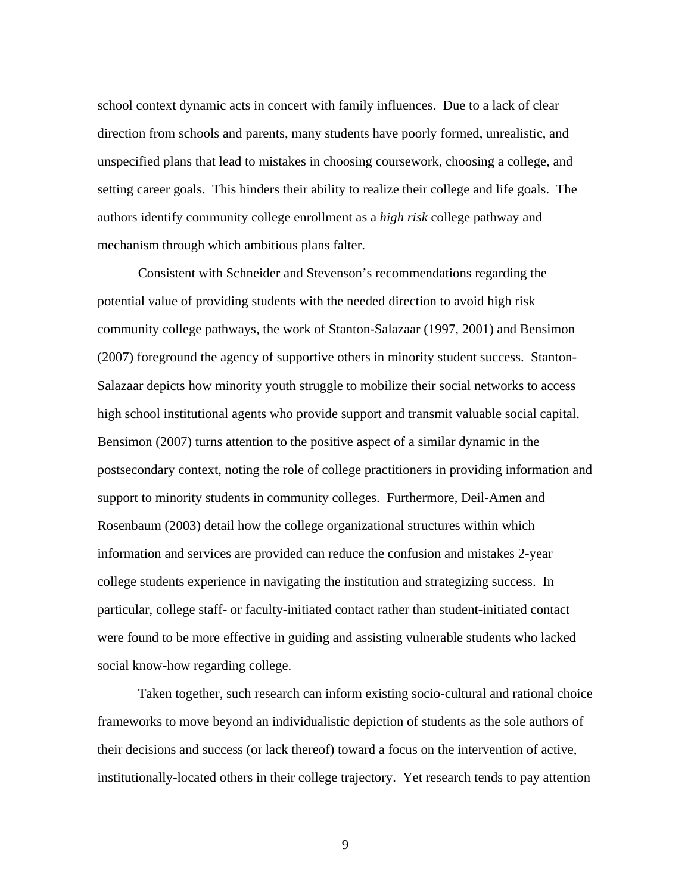school context dynamic acts in concert with family influences. Due to a lack of clear direction from schools and parents, many students have poorly formed, unrealistic, and unspecified plans that lead to mistakes in choosing coursework, choosing a college, and setting career goals. This hinders their ability to realize their college and life goals. The authors identify community college enrollment as a *high risk* college pathway and mechanism through which ambitious plans falter.

Consistent with Schneider and Stevenson's recommendations regarding the potential value of providing students with the needed direction to avoid high risk community college pathways, the work of Stanton-Salazaar (1997, 2001) and Bensimon (2007) foreground the agency of supportive others in minority student success. Stanton-Salazaar depicts how minority youth struggle to mobilize their social networks to access high school institutional agents who provide support and transmit valuable social capital. Bensimon (2007) turns attention to the positive aspect of a similar dynamic in the postsecondary context, noting the role of college practitioners in providing information and support to minority students in community colleges. Furthermore, Deil-Amen and Rosenbaum (2003) detail how the college organizational structures within which information and services are provided can reduce the confusion and mistakes 2-year college students experience in navigating the institution and strategizing success. In particular, college staff- or faculty-initiated contact rather than student-initiated contact were found to be more effective in guiding and assisting vulnerable students who lacked social know-how regarding college.

Taken together, such research can inform existing socio-cultural and rational choice frameworks to move beyond an individualistic depiction of students as the sole authors of their decisions and success (or lack thereof) toward a focus on the intervention of active, institutionally-located others in their college trajectory. Yet research tends to pay attention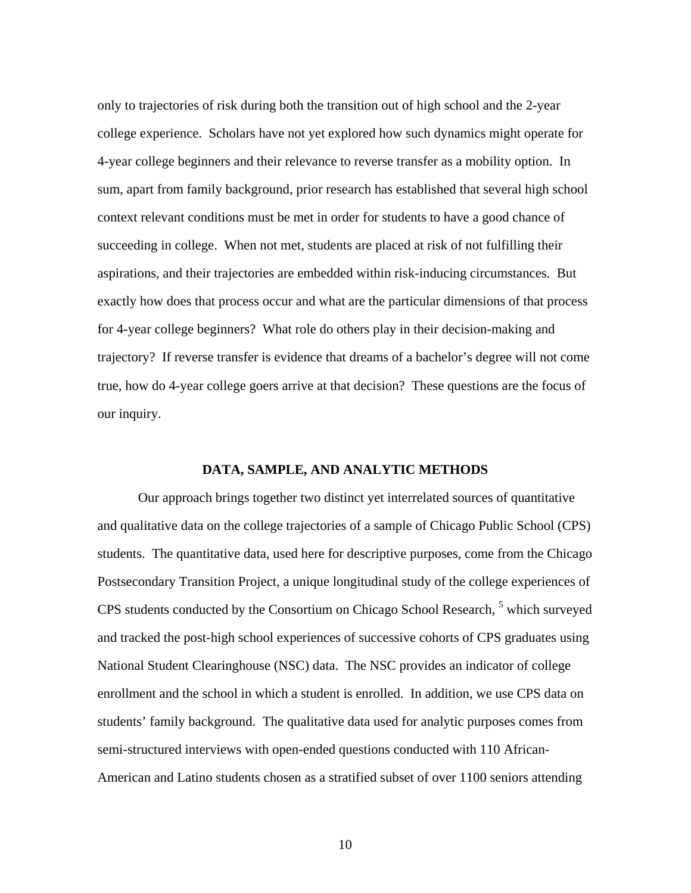only to trajectories of risk during both the transition out of high school and the 2-year college experience. Scholars have not yet explored how such dynamics might operate for 4-year college beginners and their relevance to reverse transfer as a mobility option. In sum, apart from family background, prior research has established that several high school context relevant conditions must be met in order for students to have a good chance of succeeding in college. When not met, students are placed at risk of not fulfilling their aspirations, and their trajectories are embedded within risk-inducing circumstances. But exactly how does that process occur and what are the particular dimensions of that process for 4-year college beginners? What role do others play in their decision-making and trajectory? If reverse transfer is evidence that dreams of a bachelor's degree will not come true, how do 4-year college goers arrive at that decision? These questions are the focus of our inquiry.

#### **DATA, SAMPLE, AND ANALYTIC METHODS**

Our approach brings together two distinct yet interrelated sources of quantitative and qualitative data on the college trajectories of a sample of Chicago Public School (CPS) students. The quantitative data, used here for descriptive purposes, come from the Chicago Postsecondary Transition Project, a unique longitudinal study of the college experiences of CPS students conducted by the Consortium on Chicago School Research, <sup>5</sup> which surveyed and tracked the post-high school experiences of successive cohorts of CPS graduates using National Student Clearinghouse (NSC) data. The NSC provides an indicator of college enrollment and the school in which a student is enrolled. In addition, we use CPS data on students' family background. The qualitative data used for analytic purposes comes from semi-structured interviews with open-ended questions conducted with 110 African-American and Latino students chosen as a stratified subset of over 1100 seniors attending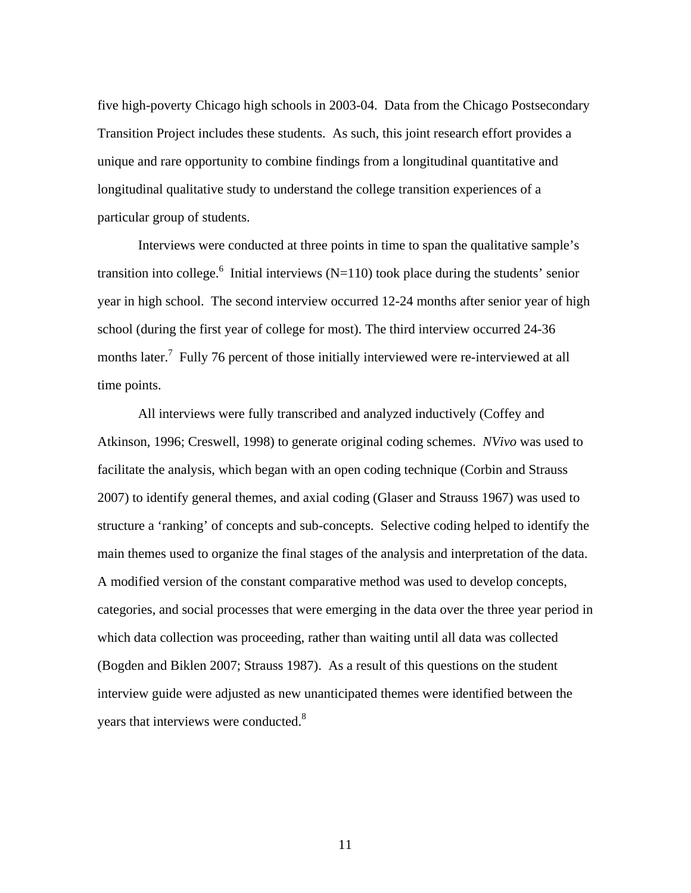five high-poverty Chicago high schools in 2003-04. Data from the Chicago Postsecondary Transition Project includes these students. As such, this joint research effort provides a unique and rare opportunity to combine findings from a longitudinal quantitative and longitudinal qualitative study to understand the college transition experiences of a particular group of students.

Interviews were conducted at three points in time to span the qualitative sample's transition into college.<sup>6</sup> Initial interviews (N=110) took place during the students' senior year in high school. The second interview occurred 12-24 months after senior year of high school (during the first year of college for most). The third interview occurred 24-36 months later.<sup>7</sup> Fully 76 percent of those initially interviewed were re-interviewed at all time points.

All interviews were fully transcribed and analyzed inductively (Coffey and Atkinson, 1996; Creswell, 1998) to generate original coding schemes. *NVivo* was used to facilitate the analysis, which began with an open coding technique (Corbin and Strauss 2007) to identify general themes, and axial coding (Glaser and Strauss 1967) was used to structure a 'ranking' of concepts and sub-concepts. Selective coding helped to identify the main themes used to organize the final stages of the analysis and interpretation of the data. A modified version of the constant comparative method was used to develop concepts, categories, and social processes that were emerging in the data over the three year period in which data collection was proceeding, rather than waiting until all data was collected (Bogden and Biklen 2007; Strauss 1987). As a result of this questions on the student interview guide were adjusted as new unanticipated themes were identified between the years that interviews were conducted.<sup>8</sup>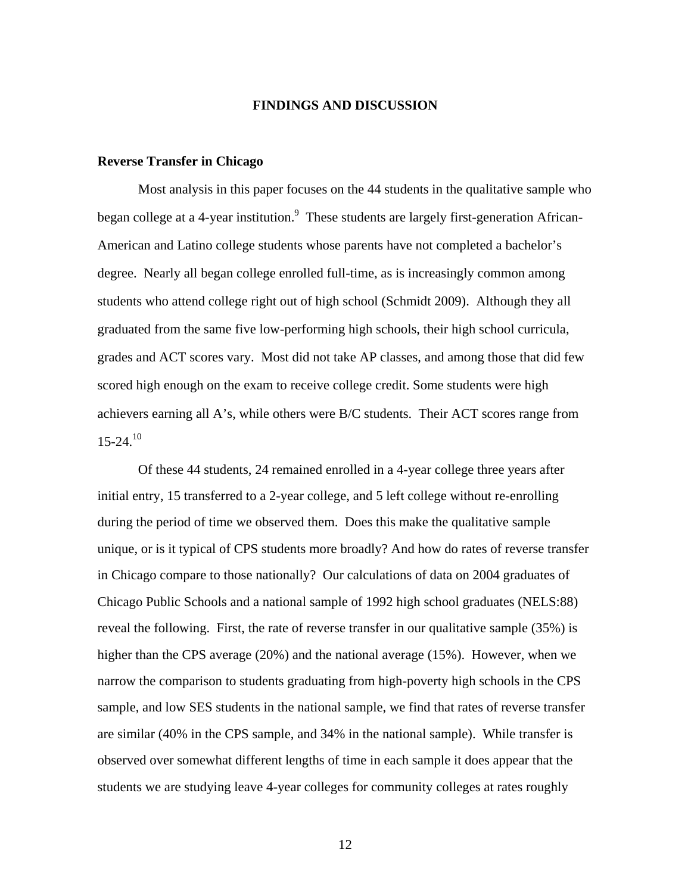#### **FINDINGS AND DISCUSSION**

#### **Reverse Transfer in Chicago**

Most analysis in this paper focuses on the 44 students in the qualitative sample who began college at a 4-year institution.<sup>9</sup> These students are largely first-generation African-American and Latino college students whose parents have not completed a bachelor's degree. Nearly all began college enrolled full-time, as is increasingly common among students who attend college right out of high school (Schmidt 2009). Although they all graduated from the same five low-performing high schools, their high school curricula, grades and ACT scores vary. Most did not take AP classes, and among those that did few scored high enough on the exam to receive college credit. Some students were high achievers earning all A's, while others were B/C students. Their ACT scores range from  $15-24^{10}$ 

Of these 44 students, 24 remained enrolled in a 4-year college three years after initial entry, 15 transferred to a 2-year college, and 5 left college without re-enrolling during the period of time we observed them. Does this make the qualitative sample unique, or is it typical of CPS students more broadly? And how do rates of reverse transfer in Chicago compare to those nationally? Our calculations of data on 2004 graduates of Chicago Public Schools and a national sample of 1992 high school graduates (NELS:88) reveal the following. First, the rate of reverse transfer in our qualitative sample (35%) is higher than the CPS average (20%) and the national average (15%). However, when we narrow the comparison to students graduating from high-poverty high schools in the CPS sample, and low SES students in the national sample, we find that rates of reverse transfer are similar (40% in the CPS sample, and 34% in the national sample). While transfer is observed over somewhat different lengths of time in each sample it does appear that the students we are studying leave 4-year colleges for community colleges at rates roughly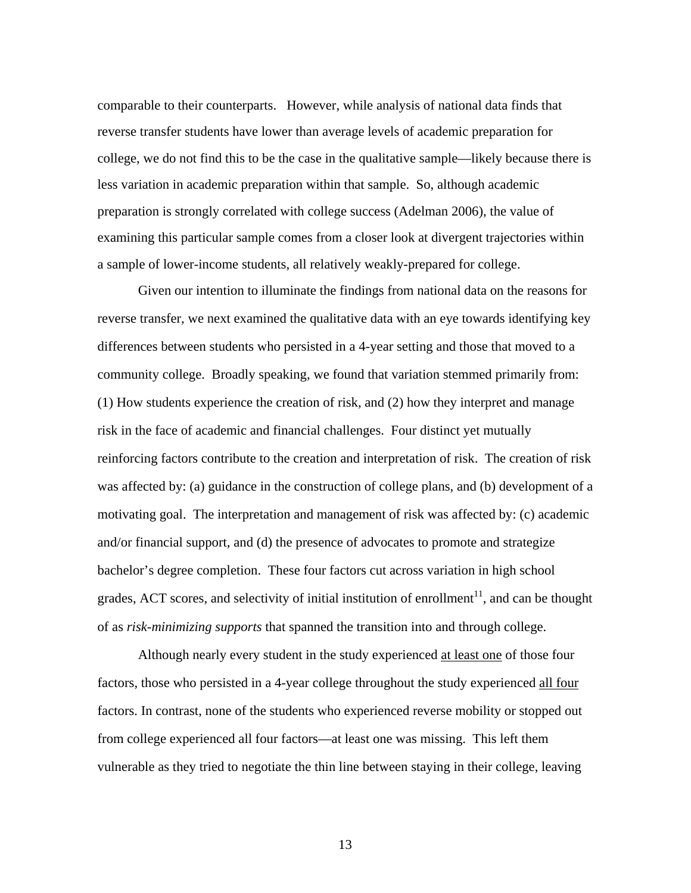comparable to their counterparts. However, while analysis of national data finds that reverse transfer students have lower than average levels of academic preparation for college, we do not find this to be the case in the qualitative sample—likely because there is less variation in academic preparation within that sample. So, although academic preparation is strongly correlated with college success (Adelman 2006), the value of examining this particular sample comes from a closer look at divergent trajectories within a sample of lower-income students, all relatively weakly-prepared for college.

 Given our intention to illuminate the findings from national data on the reasons for reverse transfer, we next examined the qualitative data with an eye towards identifying key differences between students who persisted in a 4-year setting and those that moved to a community college. Broadly speaking, we found that variation stemmed primarily from: (1) How students experience the creation of risk, and (2) how they interpret and manage risk in the face of academic and financial challenges. Four distinct yet mutually reinforcing factors contribute to the creation and interpretation of risk. The creation of risk was affected by: (a) guidance in the construction of college plans, and (b) development of a motivating goal. The interpretation and management of risk was affected by: (c) academic and/or financial support, and (d) the presence of advocates to promote and strategize bachelor's degree completion. These four factors cut across variation in high school grades, ACT scores, and selectivity of initial institution of enrollment<sup>11</sup>, and can be thought of as *risk-minimizing supports* that spanned the transition into and through college.

 Although nearly every student in the study experienced at least one of those four factors, those who persisted in a 4-year college throughout the study experienced all four factors. In contrast, none of the students who experienced reverse mobility or stopped out from college experienced all four factors—at least one was missing. This left them vulnerable as they tried to negotiate the thin line between staying in their college, leaving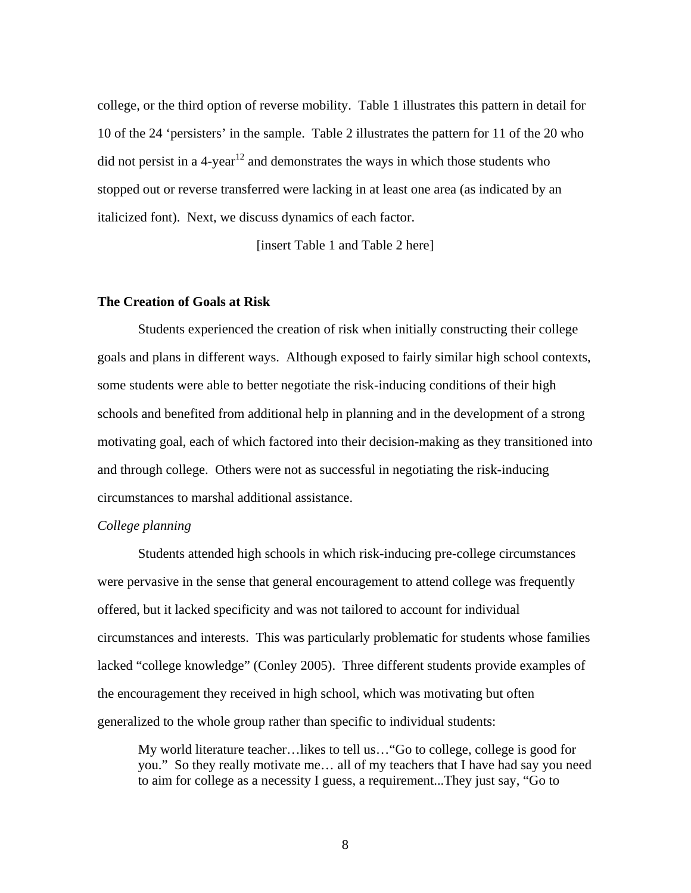college, or the third option of reverse mobility. Table 1 illustrates this pattern in detail for 10 of the 24 'persisters' in the sample. Table 2 illustrates the pattern for 11 of the 20 who did not persist in a  $4$ -year<sup>12</sup> and demonstrates the ways in which those students who stopped out or reverse transferred were lacking in at least one area (as indicated by an italicized font). Next, we discuss dynamics of each factor.

[insert Table 1 and Table 2 here]

#### **The Creation of Goals at Risk**

Students experienced the creation of risk when initially constructing their college goals and plans in different ways. Although exposed to fairly similar high school contexts, some students were able to better negotiate the risk-inducing conditions of their high schools and benefited from additional help in planning and in the development of a strong motivating goal, each of which factored into their decision-making as they transitioned into and through college. Others were not as successful in negotiating the risk-inducing circumstances to marshal additional assistance.

#### *College planning*

Students attended high schools in which risk-inducing pre-college circumstances were pervasive in the sense that general encouragement to attend college was frequently offered, but it lacked specificity and was not tailored to account for individual circumstances and interests. This was particularly problematic for students whose families lacked "college knowledge" (Conley 2005). Three different students provide examples of the encouragement they received in high school, which was motivating but often generalized to the whole group rather than specific to individual students:

My world literature teacher…likes to tell us…"Go to college, college is good for you." So they really motivate me… all of my teachers that I have had say you need to aim for college as a necessity I guess, a requirement...They just say, "Go to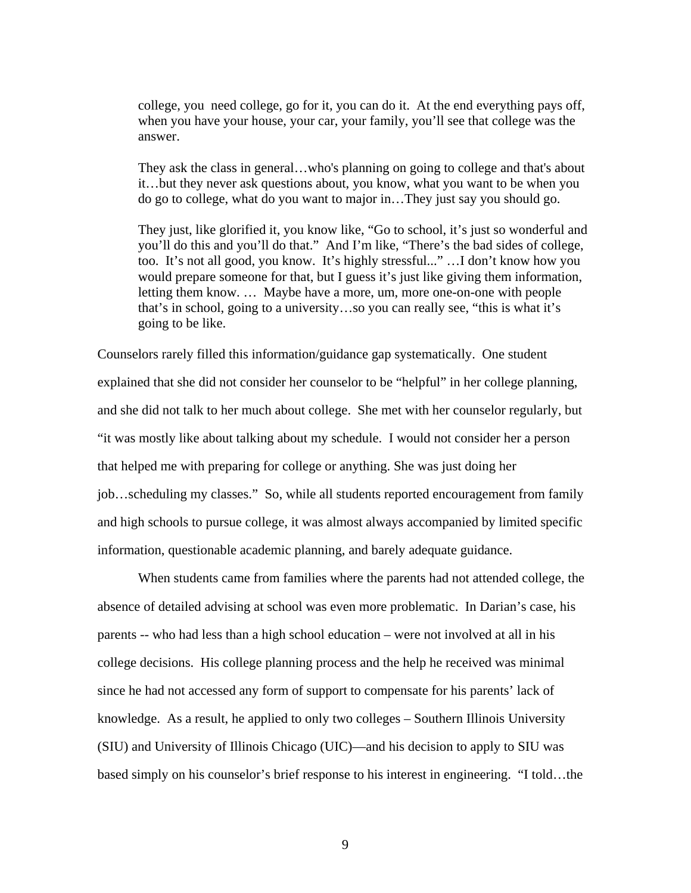college, you need college, go for it, you can do it. At the end everything pays off, when you have your house, your car, your family, you'll see that college was the answer.

They ask the class in general…who's planning on going to college and that's about it…but they never ask questions about, you know, what you want to be when you do go to college, what do you want to major in…They just say you should go.

They just, like glorified it, you know like, "Go to school, it's just so wonderful and you'll do this and you'll do that." And I'm like, "There's the bad sides of college, too. It's not all good, you know. It's highly stressful..." …I don't know how you would prepare someone for that, but I guess it's just like giving them information, letting them know. … Maybe have a more, um, more one-on-one with people that's in school, going to a university…so you can really see, "this is what it's going to be like.

Counselors rarely filled this information/guidance gap systematically. One student explained that she did not consider her counselor to be "helpful" in her college planning, and she did not talk to her much about college. She met with her counselor regularly, but "it was mostly like about talking about my schedule. I would not consider her a person that helped me with preparing for college or anything. She was just doing her job…scheduling my classes." So, while all students reported encouragement from family and high schools to pursue college, it was almost always accompanied by limited specific information, questionable academic planning, and barely adequate guidance.

When students came from families where the parents had not attended college, the absence of detailed advising at school was even more problematic. In Darian's case, his parents -- who had less than a high school education – were not involved at all in his college decisions. His college planning process and the help he received was minimal since he had not accessed any form of support to compensate for his parents' lack of knowledge. As a result, he applied to only two colleges – Southern Illinois University (SIU) and University of Illinois Chicago (UIC)—and his decision to apply to SIU was based simply on his counselor's brief response to his interest in engineering. "I told…the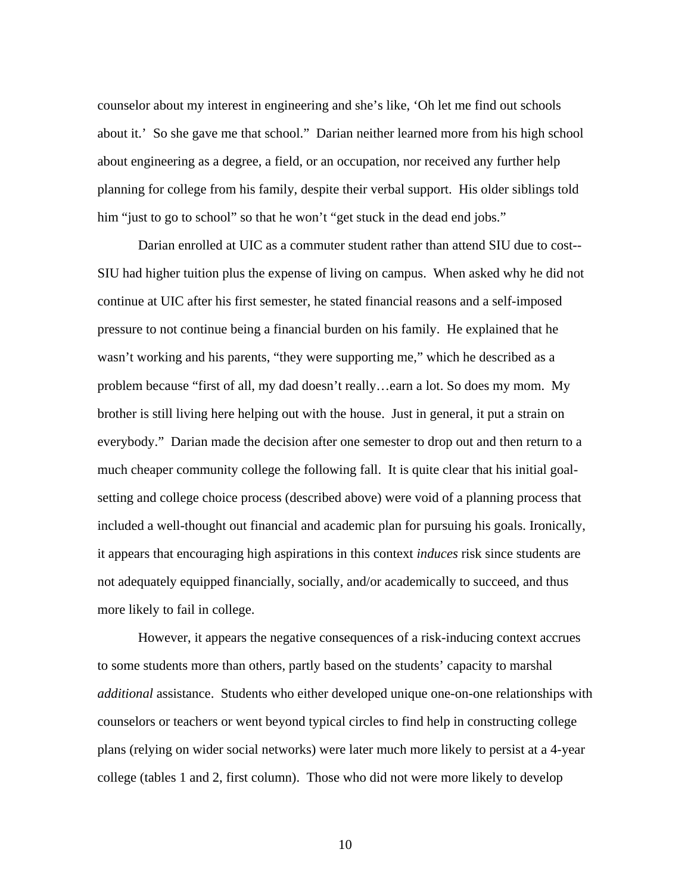counselor about my interest in engineering and she's like, 'Oh let me find out schools about it.' So she gave me that school." Darian neither learned more from his high school about engineering as a degree, a field, or an occupation, nor received any further help planning for college from his family, despite their verbal support. His older siblings told him "just to go to school" so that he won't "get stuck in the dead end jobs."

Darian enrolled at UIC as a commuter student rather than attend SIU due to cost-- SIU had higher tuition plus the expense of living on campus. When asked why he did not continue at UIC after his first semester, he stated financial reasons and a self-imposed pressure to not continue being a financial burden on his family. He explained that he wasn't working and his parents, "they were supporting me," which he described as a problem because "first of all, my dad doesn't really…earn a lot. So does my mom. My brother is still living here helping out with the house. Just in general, it put a strain on everybody." Darian made the decision after one semester to drop out and then return to a much cheaper community college the following fall. It is quite clear that his initial goalsetting and college choice process (described above) were void of a planning process that included a well-thought out financial and academic plan for pursuing his goals. Ironically, it appears that encouraging high aspirations in this context *induces* risk since students are not adequately equipped financially, socially, and/or academically to succeed, and thus more likely to fail in college.

However, it appears the negative consequences of a risk-inducing context accrues to some students more than others, partly based on the students' capacity to marshal *additional* assistance. Students who either developed unique one-on-one relationships with counselors or teachers or went beyond typical circles to find help in constructing college plans (relying on wider social networks) were later much more likely to persist at a 4-year college (tables 1 and 2, first column). Those who did not were more likely to develop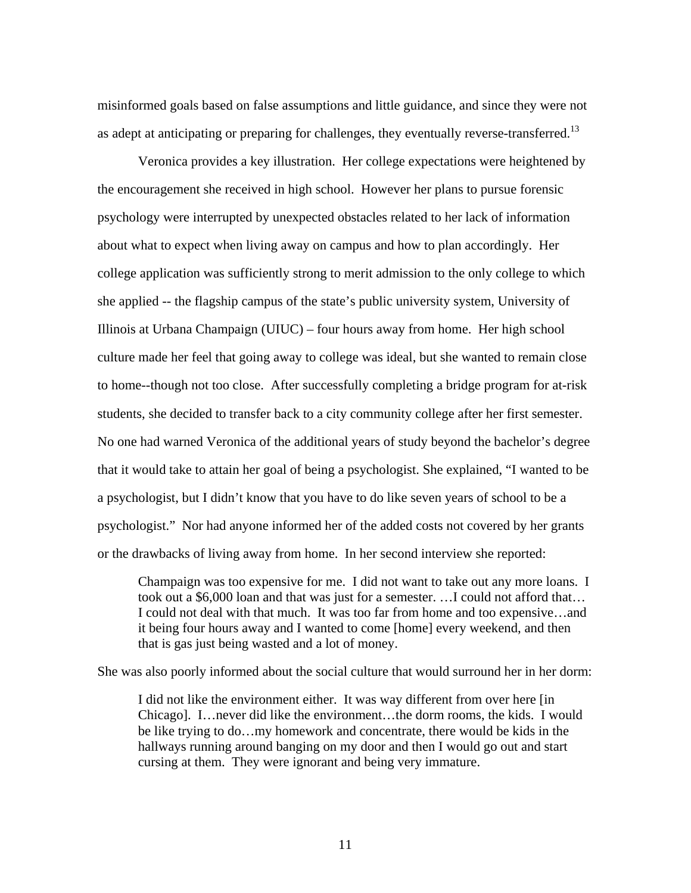misinformed goals based on false assumptions and little guidance, and since they were not as adept at anticipating or preparing for challenges, they eventually reverse-transferred.<sup>13</sup>

Veronica provides a key illustration. Her college expectations were heightened by the encouragement she received in high school. However her plans to pursue forensic psychology were interrupted by unexpected obstacles related to her lack of information about what to expect when living away on campus and how to plan accordingly. Her college application was sufficiently strong to merit admission to the only college to which she applied -- the flagship campus of the state's public university system, University of Illinois at Urbana Champaign (UIUC) – four hours away from home. Her high school culture made her feel that going away to college was ideal, but she wanted to remain close to home--though not too close. After successfully completing a bridge program for at-risk students, she decided to transfer back to a city community college after her first semester. No one had warned Veronica of the additional years of study beyond the bachelor's degree that it would take to attain her goal of being a psychologist. She explained, "I wanted to be a psychologist, but I didn't know that you have to do like seven years of school to be a psychologist." Nor had anyone informed her of the added costs not covered by her grants or the drawbacks of living away from home. In her second interview she reported:

Champaign was too expensive for me. I did not want to take out any more loans. I took out a \$6,000 loan and that was just for a semester. …I could not afford that… I could not deal with that much. It was too far from home and too expensive…and it being four hours away and I wanted to come [home] every weekend, and then that is gas just being wasted and a lot of money.

She was also poorly informed about the social culture that would surround her in her dorm:

I did not like the environment either. It was way different from over here [in Chicago]. I…never did like the environment…the dorm rooms, the kids. I would be like trying to do…my homework and concentrate, there would be kids in the hallways running around banging on my door and then I would go out and start cursing at them. They were ignorant and being very immature.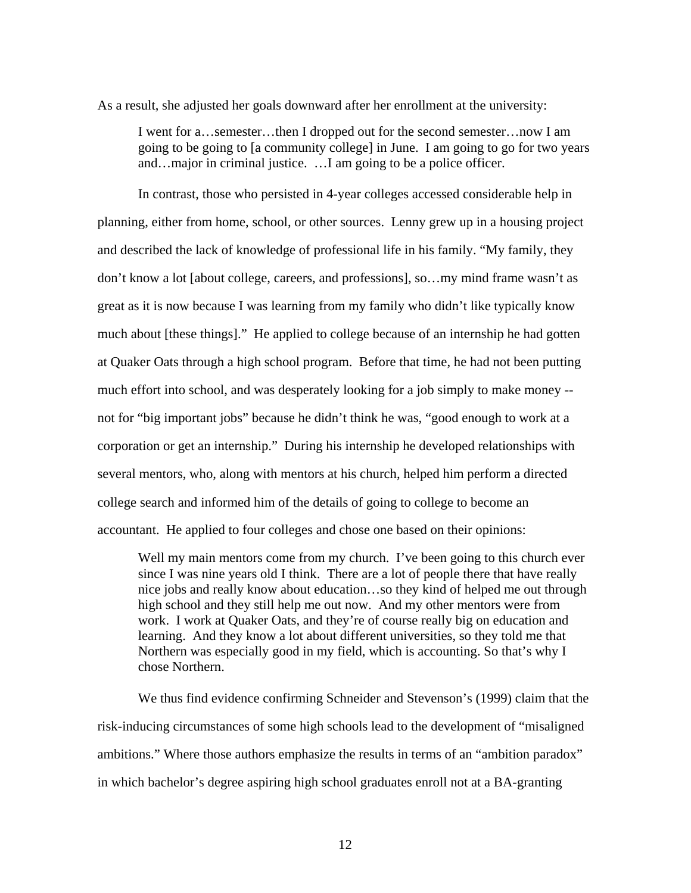As a result, she adjusted her goals downward after her enrollment at the university:

I went for a…semester…then I dropped out for the second semester…now I am going to be going to [a community college] in June. I am going to go for two years and…major in criminal justice. …I am going to be a police officer.

 In contrast, those who persisted in 4-year colleges accessed considerable help in planning, either from home, school, or other sources. Lenny grew up in a housing project and described the lack of knowledge of professional life in his family. "My family, they don't know a lot [about college, careers, and professions], so…my mind frame wasn't as great as it is now because I was learning from my family who didn't like typically know much about [these things]." He applied to college because of an internship he had gotten at Quaker Oats through a high school program. Before that time, he had not been putting much effort into school, and was desperately looking for a job simply to make money - not for "big important jobs" because he didn't think he was, "good enough to work at a corporation or get an internship." During his internship he developed relationships with several mentors, who, along with mentors at his church, helped him perform a directed college search and informed him of the details of going to college to become an accountant. He applied to four colleges and chose one based on their opinions:

Well my main mentors come from my church. I've been going to this church ever since I was nine years old I think. There are a lot of people there that have really nice jobs and really know about education…so they kind of helped me out through high school and they still help me out now. And my other mentors were from work. I work at Quaker Oats, and they're of course really big on education and learning. And they know a lot about different universities, so they told me that Northern was especially good in my field, which is accounting. So that's why I chose Northern.

We thus find evidence confirming Schneider and Stevenson's (1999) claim that the risk-inducing circumstances of some high schools lead to the development of "misaligned ambitions." Where those authors emphasize the results in terms of an "ambition paradox" in which bachelor's degree aspiring high school graduates enroll not at a BA-granting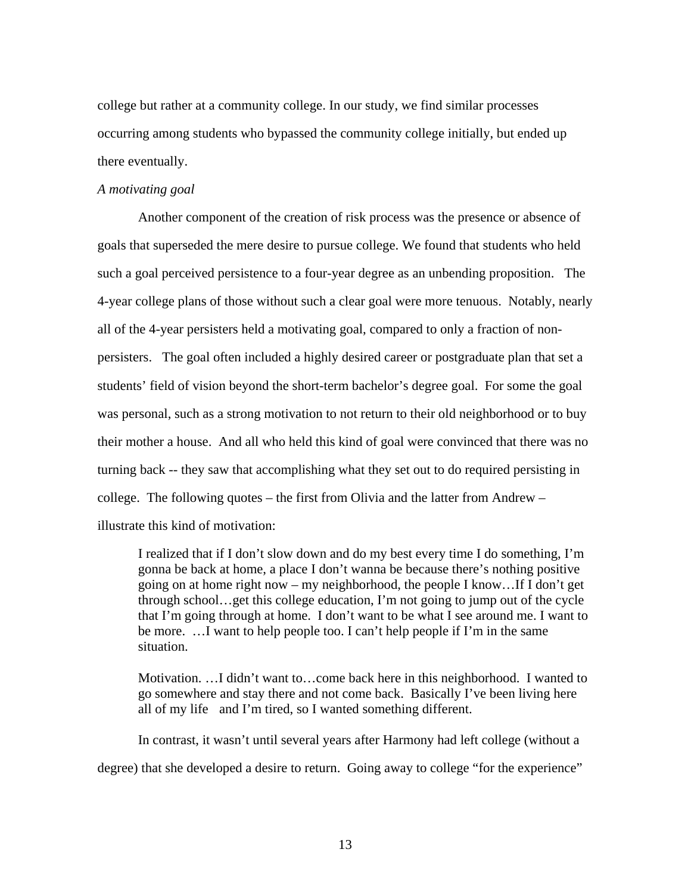college but rather at a community college. In our study, we find similar processes occurring among students who bypassed the community college initially, but ended up there eventually.

#### *A motivating goal*

 Another component of the creation of risk process was the presence or absence of goals that superseded the mere desire to pursue college. We found that students who held such a goal perceived persistence to a four-year degree as an unbending proposition. The 4-year college plans of those without such a clear goal were more tenuous. Notably, nearly all of the 4-year persisters held a motivating goal, compared to only a fraction of nonpersisters. The goal often included a highly desired career or postgraduate plan that set a students' field of vision beyond the short-term bachelor's degree goal. For some the goal was personal, such as a strong motivation to not return to their old neighborhood or to buy their mother a house. And all who held this kind of goal were convinced that there was no turning back -- they saw that accomplishing what they set out to do required persisting in college. The following quotes – the first from Olivia and the latter from Andrew – illustrate this kind of motivation:

I realized that if I don't slow down and do my best every time I do something, I'm gonna be back at home, a place I don't wanna be because there's nothing positive going on at home right now – my neighborhood, the people I know…If I don't get through school…get this college education, I'm not going to jump out of the cycle that I'm going through at home. I don't want to be what I see around me. I want to be more. …I want to help people too. I can't help people if I'm in the same situation.

Motivation. …I didn't want to…come back here in this neighborhood. I wanted to go somewhere and stay there and not come back. Basically I've been living here all of my life and I'm tired, so I wanted something different.

 In contrast, it wasn't until several years after Harmony had left college (without a degree) that she developed a desire to return. Going away to college "for the experience"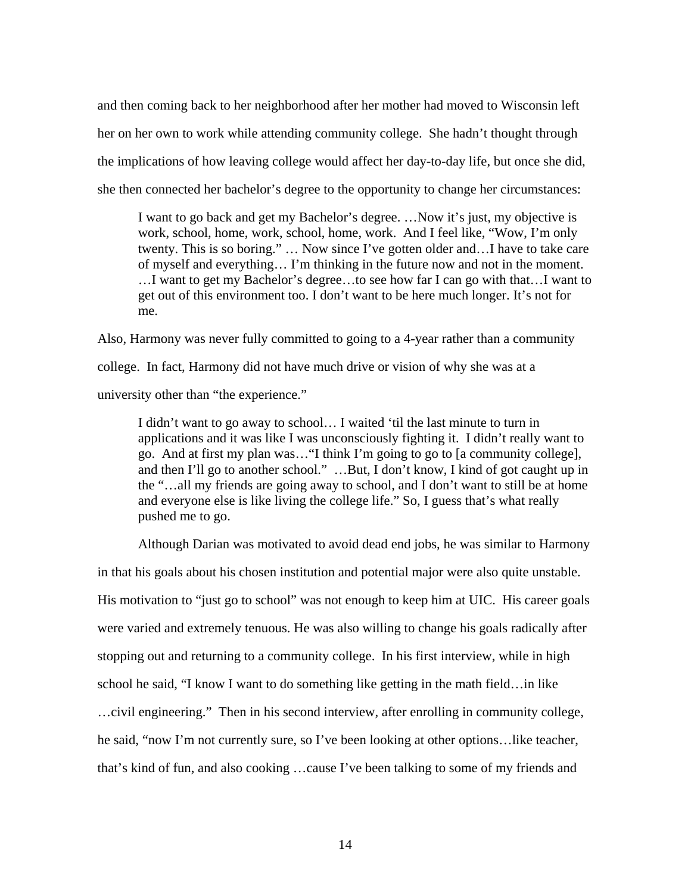and then coming back to her neighborhood after her mother had moved to Wisconsin left her on her own to work while attending community college. She hadn't thought through the implications of how leaving college would affect her day-to-day life, but once she did, she then connected her bachelor's degree to the opportunity to change her circumstances:

I want to go back and get my Bachelor's degree. …Now it's just, my objective is work, school, home, work, school, home, work. And I feel like, "Wow, I'm only twenty. This is so boring." … Now since I've gotten older and…I have to take care of myself and everything… I'm thinking in the future now and not in the moment. …I want to get my Bachelor's degree…to see how far I can go with that…I want to get out of this environment too. I don't want to be here much longer. It's not for me.

Also, Harmony was never fully committed to going to a 4-year rather than a community college. In fact, Harmony did not have much drive or vision of why she was at a university other than "the experience."

I didn't want to go away to school… I waited 'til the last minute to turn in applications and it was like I was unconsciously fighting it. I didn't really want to go. And at first my plan was…"I think I'm going to go to [a community college], and then I'll go to another school." …But, I don't know, I kind of got caught up in the "…all my friends are going away to school, and I don't want to still be at home and everyone else is like living the college life." So, I guess that's what really pushed me to go.

Although Darian was motivated to avoid dead end jobs, he was similar to Harmony

in that his goals about his chosen institution and potential major were also quite unstable. His motivation to "just go to school" was not enough to keep him at UIC. His career goals were varied and extremely tenuous. He was also willing to change his goals radically after stopping out and returning to a community college. In his first interview, while in high school he said, "I know I want to do something like getting in the math field…in like …civil engineering." Then in his second interview, after enrolling in community college, he said, "now I'm not currently sure, so I've been looking at other options…like teacher, that's kind of fun, and also cooking …cause I've been talking to some of my friends and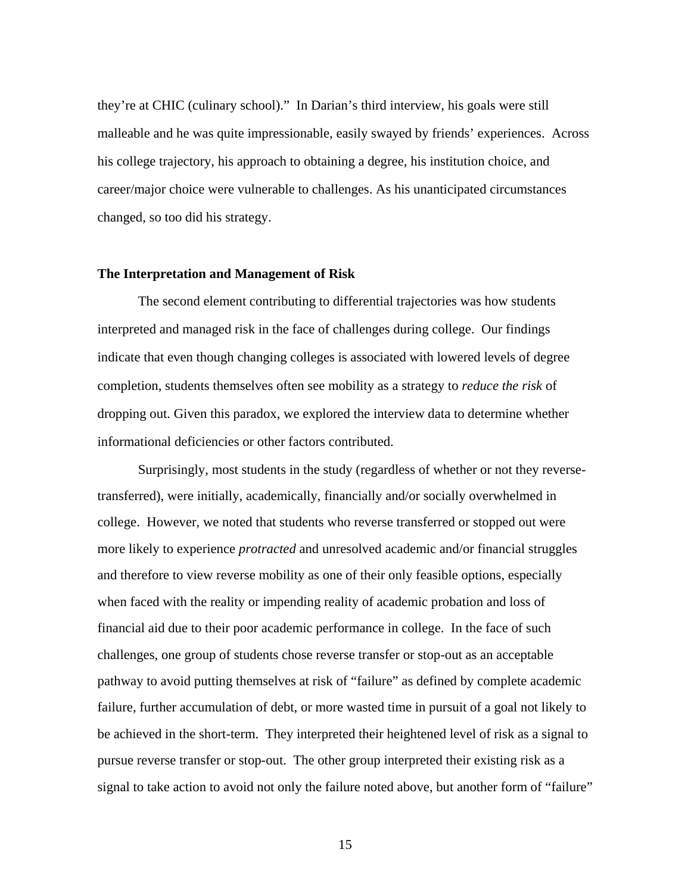they're at CHIC (culinary school)." In Darian's third interview, his goals were still malleable and he was quite impressionable, easily swayed by friends' experiences. Across his college trajectory, his approach to obtaining a degree, his institution choice, and career/major choice were vulnerable to challenges. As his unanticipated circumstances changed, so too did his strategy.

#### **The Interpretation and Management of Risk**

The second element contributing to differential trajectories was how students interpreted and managed risk in the face of challenges during college. Our findings indicate that even though changing colleges is associated with lowered levels of degree completion, students themselves often see mobility as a strategy to *reduce the risk* of dropping out. Given this paradox, we explored the interview data to determine whether informational deficiencies or other factors contributed.

Surprisingly, most students in the study (regardless of whether or not they reversetransferred), were initially, academically, financially and/or socially overwhelmed in college. However, we noted that students who reverse transferred or stopped out were more likely to experience *protracted* and unresolved academic and/or financial struggles and therefore to view reverse mobility as one of their only feasible options, especially when faced with the reality or impending reality of academic probation and loss of financial aid due to their poor academic performance in college. In the face of such challenges, one group of students chose reverse transfer or stop-out as an acceptable pathway to avoid putting themselves at risk of "failure" as defined by complete academic failure, further accumulation of debt, or more wasted time in pursuit of a goal not likely to be achieved in the short-term. They interpreted their heightened level of risk as a signal to pursue reverse transfer or stop-out. The other group interpreted their existing risk as a signal to take action to avoid not only the failure noted above, but another form of "failure"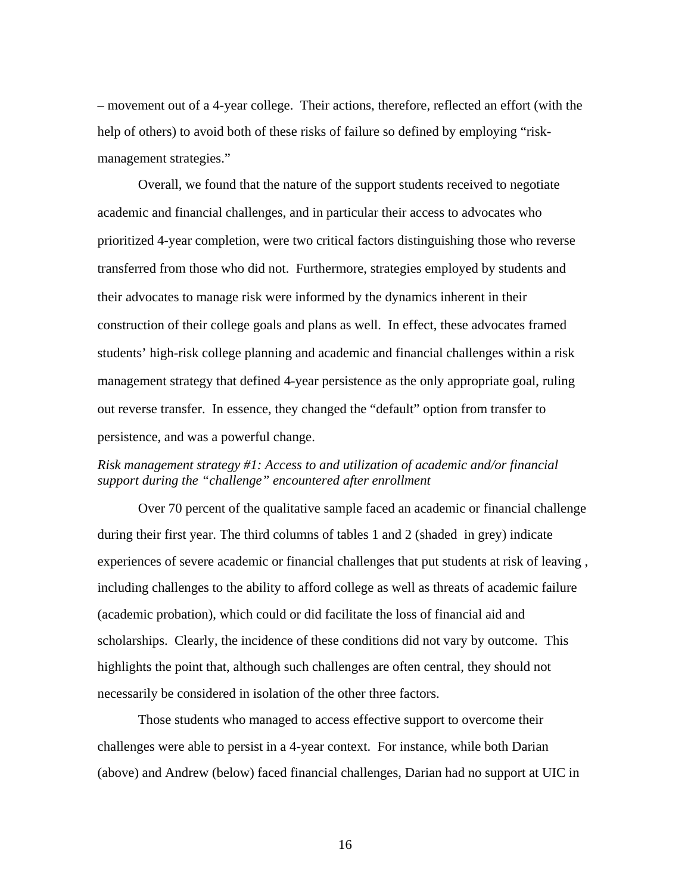– movement out of a 4-year college. Their actions, therefore, reflected an effort (with the help of others) to avoid both of these risks of failure so defined by employing "riskmanagement strategies."

Overall, we found that the nature of the support students received to negotiate academic and financial challenges, and in particular their access to advocates who prioritized 4-year completion, were two critical factors distinguishing those who reverse transferred from those who did not. Furthermore, strategies employed by students and their advocates to manage risk were informed by the dynamics inherent in their construction of their college goals and plans as well. In effect, these advocates framed students' high-risk college planning and academic and financial challenges within a risk management strategy that defined 4-year persistence as the only appropriate goal, ruling out reverse transfer. In essence, they changed the "default" option from transfer to persistence, and was a powerful change.

#### *Risk management strategy #1: Access to and utilization of academic and/or financial support during the "challenge" encountered after enrollment*

Over 70 percent of the qualitative sample faced an academic or financial challenge during their first year. The third columns of tables 1 and 2 (shaded in grey) indicate experiences of severe academic or financial challenges that put students at risk of leaving , including challenges to the ability to afford college as well as threats of academic failure (academic probation), which could or did facilitate the loss of financial aid and scholarships. Clearly, the incidence of these conditions did not vary by outcome. This highlights the point that, although such challenges are often central, they should not necessarily be considered in isolation of the other three factors.

Those students who managed to access effective support to overcome their challenges were able to persist in a 4-year context. For instance, while both Darian (above) and Andrew (below) faced financial challenges, Darian had no support at UIC in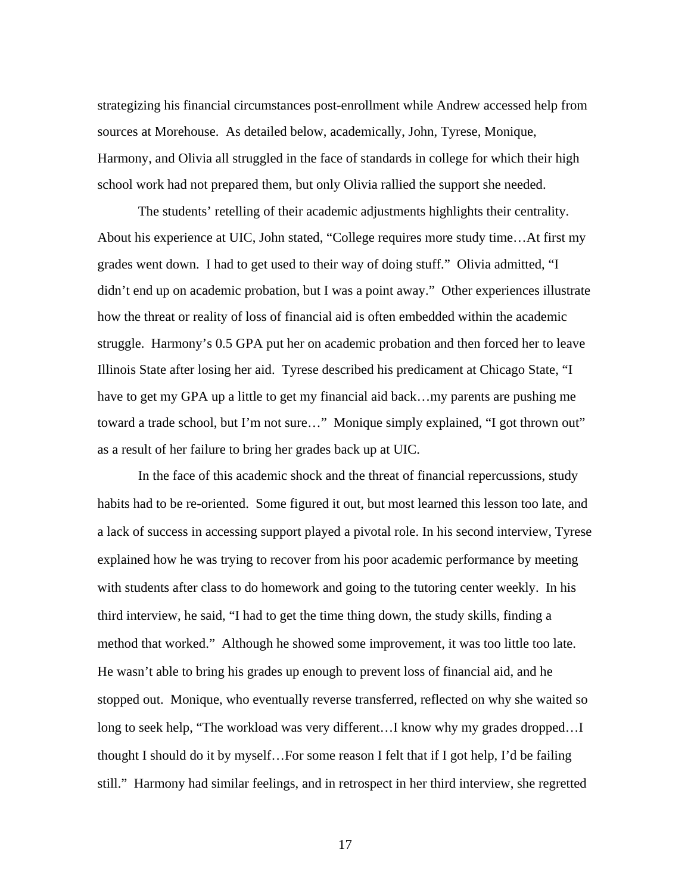strategizing his financial circumstances post-enrollment while Andrew accessed help from sources at Morehouse. As detailed below, academically, John, Tyrese, Monique, Harmony, and Olivia all struggled in the face of standards in college for which their high school work had not prepared them, but only Olivia rallied the support she needed.

The students' retelling of their academic adjustments highlights their centrality. About his experience at UIC, John stated, "College requires more study time…At first my grades went down. I had to get used to their way of doing stuff." Olivia admitted, "I didn't end up on academic probation, but I was a point away." Other experiences illustrate how the threat or reality of loss of financial aid is often embedded within the academic struggle. Harmony's 0.5 GPA put her on academic probation and then forced her to leave Illinois State after losing her aid. Tyrese described his predicament at Chicago State, "I have to get my GPA up a little to get my financial aid back...my parents are pushing me toward a trade school, but I'm not sure…" Monique simply explained, "I got thrown out" as a result of her failure to bring her grades back up at UIC.

 In the face of this academic shock and the threat of financial repercussions, study habits had to be re-oriented. Some figured it out, but most learned this lesson too late, and a lack of success in accessing support played a pivotal role. In his second interview, Tyrese explained how he was trying to recover from his poor academic performance by meeting with students after class to do homework and going to the tutoring center weekly. In his third interview, he said, "I had to get the time thing down, the study skills, finding a method that worked." Although he showed some improvement, it was too little too late. He wasn't able to bring his grades up enough to prevent loss of financial aid, and he stopped out. Monique, who eventually reverse transferred, reflected on why she waited so long to seek help, "The workload was very different...I know why my grades dropped...I thought I should do it by myself…For some reason I felt that if I got help, I'd be failing still." Harmony had similar feelings, and in retrospect in her third interview, she regretted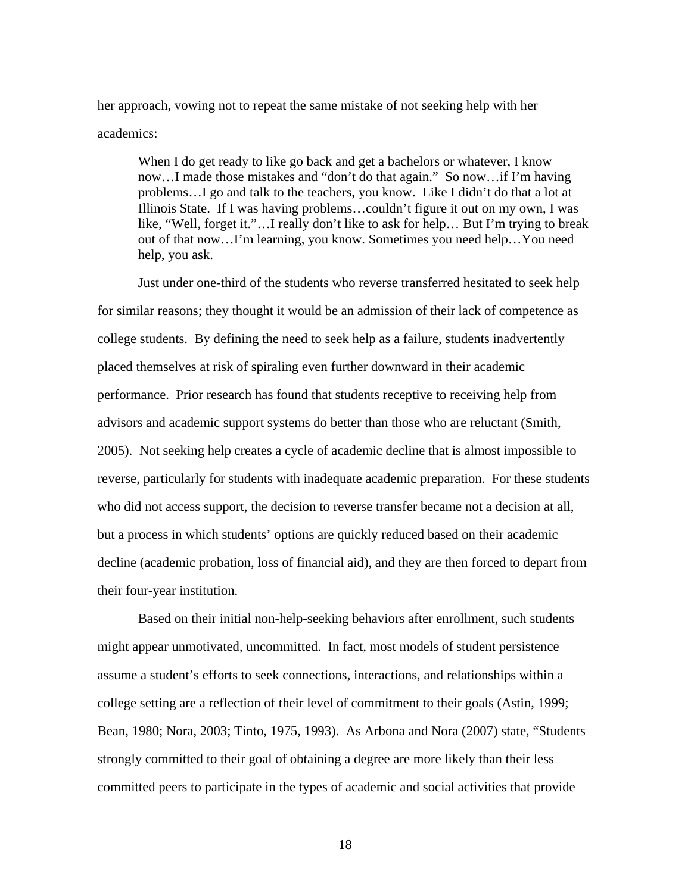her approach, vowing not to repeat the same mistake of not seeking help with her academics:

When I do get ready to like go back and get a bachelors or whatever, I know now…I made those mistakes and "don't do that again." So now…if I'm having problems…I go and talk to the teachers, you know. Like I didn't do that a lot at Illinois State. If I was having problems…couldn't figure it out on my own, I was like, "Well, forget it."…I really don't like to ask for help… But I'm trying to break out of that now…I'm learning, you know. Sometimes you need help…You need help, you ask.

Just under one-third of the students who reverse transferred hesitated to seek help for similar reasons; they thought it would be an admission of their lack of competence as college students. By defining the need to seek help as a failure, students inadvertently placed themselves at risk of spiraling even further downward in their academic performance. Prior research has found that students receptive to receiving help from advisors and academic support systems do better than those who are reluctant (Smith, 2005). Not seeking help creates a cycle of academic decline that is almost impossible to reverse, particularly for students with inadequate academic preparation. For these students who did not access support, the decision to reverse transfer became not a decision at all, but a process in which students' options are quickly reduced based on their academic decline (academic probation, loss of financial aid), and they are then forced to depart from their four-year institution.

Based on their initial non-help-seeking behaviors after enrollment, such students might appear unmotivated, uncommitted. In fact, most models of student persistence assume a student's efforts to seek connections, interactions, and relationships within a college setting are a reflection of their level of commitment to their goals (Astin, 1999; Bean, 1980; Nora, 2003; Tinto, 1975, 1993). As Arbona and Nora (2007) state, "Students strongly committed to their goal of obtaining a degree are more likely than their less committed peers to participate in the types of academic and social activities that provide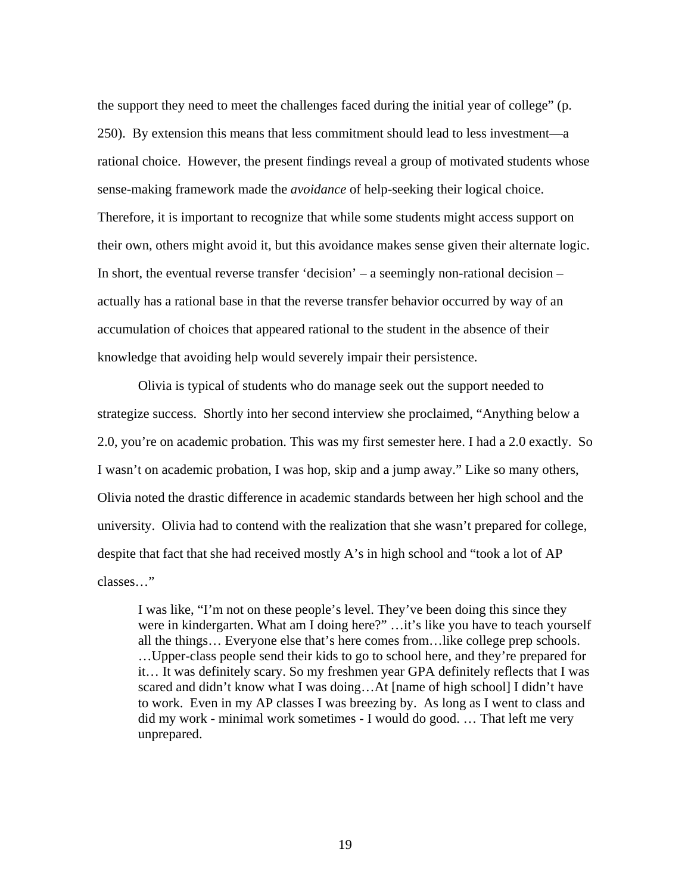the support they need to meet the challenges faced during the initial year of college" (p. 250). By extension this means that less commitment should lead to less investment—a rational choice. However, the present findings reveal a group of motivated students whose sense-making framework made the *avoidance* of help-seeking their logical choice. Therefore, it is important to recognize that while some students might access support on their own, others might avoid it, but this avoidance makes sense given their alternate logic. In short, the eventual reverse transfer 'decision' – a seemingly non-rational decision – actually has a rational base in that the reverse transfer behavior occurred by way of an accumulation of choices that appeared rational to the student in the absence of their knowledge that avoiding help would severely impair their persistence.

 Olivia is typical of students who do manage seek out the support needed to strategize success. Shortly into her second interview she proclaimed, "Anything below a 2.0, you're on academic probation. This was my first semester here. I had a 2.0 exactly. So I wasn't on academic probation, I was hop, skip and a jump away." Like so many others, Olivia noted the drastic difference in academic standards between her high school and the university. Olivia had to contend with the realization that she wasn't prepared for college, despite that fact that she had received mostly A's in high school and "took a lot of AP classes…"

I was like, "I'm not on these people's level. They've been doing this since they were in kindergarten. What am I doing here?" ... it's like you have to teach yourself all the things… Everyone else that's here comes from…like college prep schools. …Upper-class people send their kids to go to school here, and they're prepared for it… It was definitely scary. So my freshmen year GPA definitely reflects that I was scared and didn't know what I was doing…At [name of high school] I didn't have to work. Even in my AP classes I was breezing by. As long as I went to class and did my work - minimal work sometimes - I would do good. … That left me very unprepared.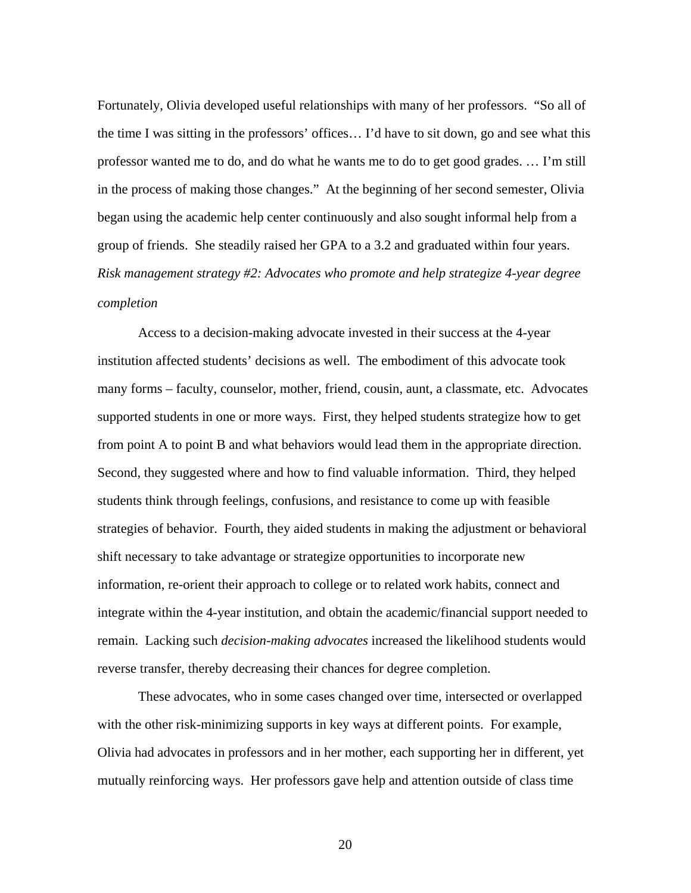Fortunately, Olivia developed useful relationships with many of her professors. "So all of the time I was sitting in the professors' offices… I'd have to sit down, go and see what this professor wanted me to do, and do what he wants me to do to get good grades. … I'm still in the process of making those changes." At the beginning of her second semester, Olivia began using the academic help center continuously and also sought informal help from a group of friends. She steadily raised her GPA to a 3.2 and graduated within four years. *Risk management strategy #2: Advocates who promote and help strategize 4-year degree completion* 

Access to a decision-making advocate invested in their success at the 4-year institution affected students' decisions as well. The embodiment of this advocate took many forms – faculty, counselor, mother, friend, cousin, aunt, a classmate, etc. Advocates supported students in one or more ways. First, they helped students strategize how to get from point A to point B and what behaviors would lead them in the appropriate direction. Second, they suggested where and how to find valuable information. Third, they helped students think through feelings, confusions, and resistance to come up with feasible strategies of behavior. Fourth, they aided students in making the adjustment or behavioral shift necessary to take advantage or strategize opportunities to incorporate new information, re-orient their approach to college or to related work habits, connect and integrate within the 4-year institution, and obtain the academic/financial support needed to remain. Lacking such *decision-making advocates* increased the likelihood students would reverse transfer, thereby decreasing their chances for degree completion.

These advocates, who in some cases changed over time, intersected or overlapped with the other risk-minimizing supports in key ways at different points. For example, Olivia had advocates in professors and in her mother, each supporting her in different, yet mutually reinforcing ways. Her professors gave help and attention outside of class time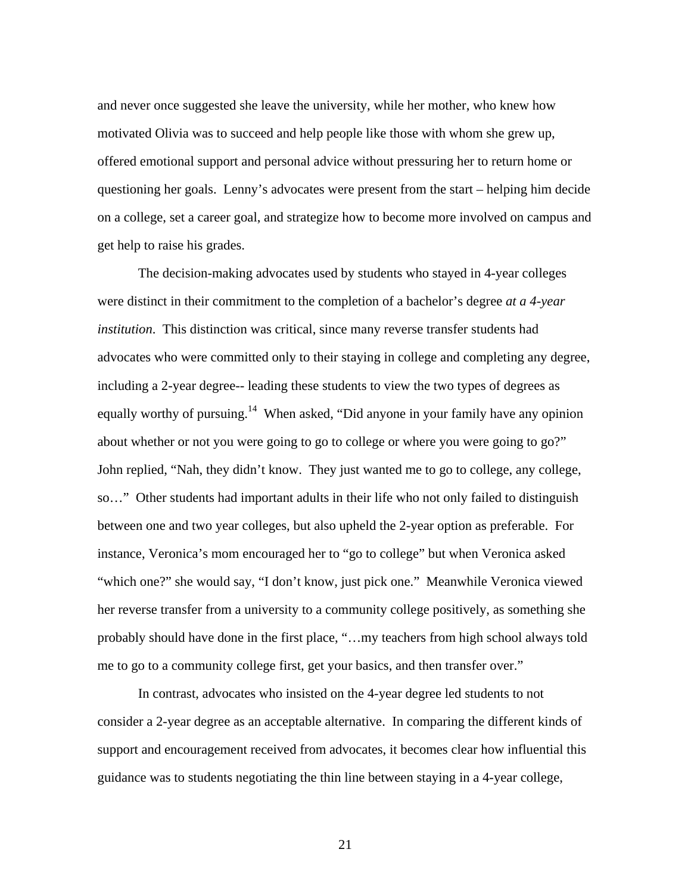and never once suggested she leave the university, while her mother, who knew how motivated Olivia was to succeed and help people like those with whom she grew up, offered emotional support and personal advice without pressuring her to return home or questioning her goals. Lenny's advocates were present from the start – helping him decide on a college, set a career goal, and strategize how to become more involved on campus and get help to raise his grades.

 The decision-making advocates used by students who stayed in 4-year colleges were distinct in their commitment to the completion of a bachelor's degree *at a 4-year institution*. This distinction was critical, since many reverse transfer students had advocates who were committed only to their staying in college and completing any degree, including a 2-year degree-- leading these students to view the two types of degrees as equally worthy of pursuing.<sup>14</sup> When asked, "Did anyone in your family have any opinion about whether or not you were going to go to college or where you were going to go?" John replied, "Nah, they didn't know. They just wanted me to go to college, any college, so…" Other students had important adults in their life who not only failed to distinguish between one and two year colleges, but also upheld the 2-year option as preferable. For instance, Veronica's mom encouraged her to "go to college" but when Veronica asked "which one?" she would say, "I don't know, just pick one." Meanwhile Veronica viewed her reverse transfer from a university to a community college positively, as something she probably should have done in the first place, "…my teachers from high school always told me to go to a community college first, get your basics, and then transfer over."

 In contrast, advocates who insisted on the 4-year degree led students to not consider a 2-year degree as an acceptable alternative. In comparing the different kinds of support and encouragement received from advocates, it becomes clear how influential this guidance was to students negotiating the thin line between staying in a 4-year college,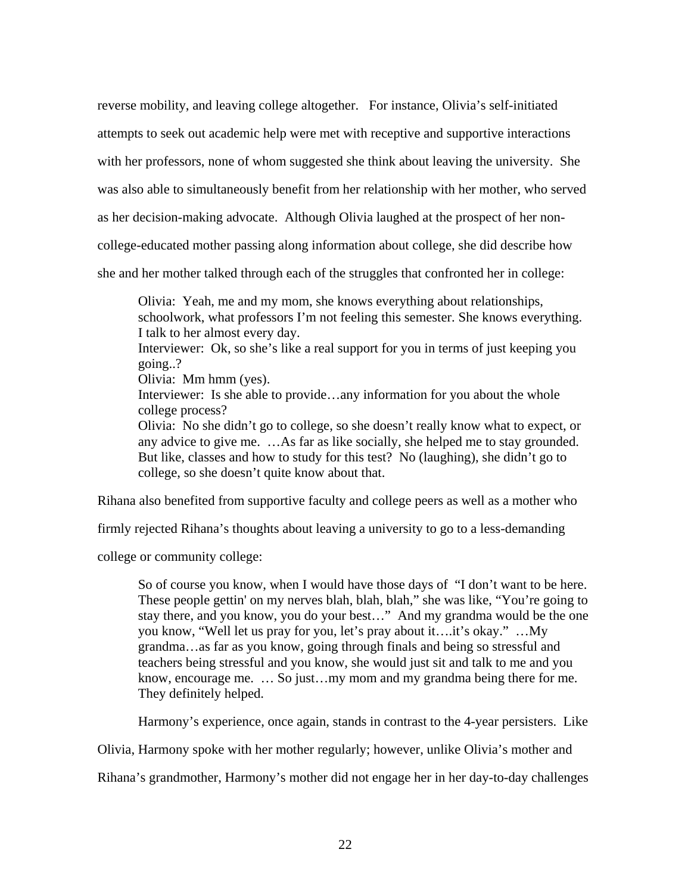reverse mobility, and leaving college altogether. For instance, Olivia's self-initiated

attempts to seek out academic help were met with receptive and supportive interactions

with her professors, none of whom suggested she think about leaving the university. She

was also able to simultaneously benefit from her relationship with her mother, who served

as her decision-making advocate. Although Olivia laughed at the prospect of her non-

college-educated mother passing along information about college, she did describe how

she and her mother talked through each of the struggles that confronted her in college:

Olivia: Yeah, me and my mom, she knows everything about relationships, schoolwork, what professors I'm not feeling this semester. She knows everything. I talk to her almost every day.

Interviewer: Ok, so she's like a real support for you in terms of just keeping you going..?

Olivia: Mm hmm (yes).

Interviewer: Is she able to provide...any information for you about the whole college process?

Olivia: No she didn't go to college, so she doesn't really know what to expect, or any advice to give me. …As far as like socially, she helped me to stay grounded. But like, classes and how to study for this test? No (laughing), she didn't go to college, so she doesn't quite know about that.

Rihana also benefited from supportive faculty and college peers as well as a mother who

firmly rejected Rihana's thoughts about leaving a university to go to a less-demanding

college or community college:

So of course you know, when I would have those days of "I don't want to be here. These people gettin' on my nerves blah, blah, blah," she was like, "You're going to stay there, and you know, you do your best…" And my grandma would be the one you know, "Well let us pray for you, let's pray about it….it's okay." …My grandma…as far as you know, going through finals and being so stressful and teachers being stressful and you know, she would just sit and talk to me and you know, encourage me. … So just…my mom and my grandma being there for me. They definitely helped.

Harmony's experience, once again, stands in contrast to the 4-year persisters. Like

Olivia, Harmony spoke with her mother regularly; however, unlike Olivia's mother and

Rihana's grandmother, Harmony's mother did not engage her in her day-to-day challenges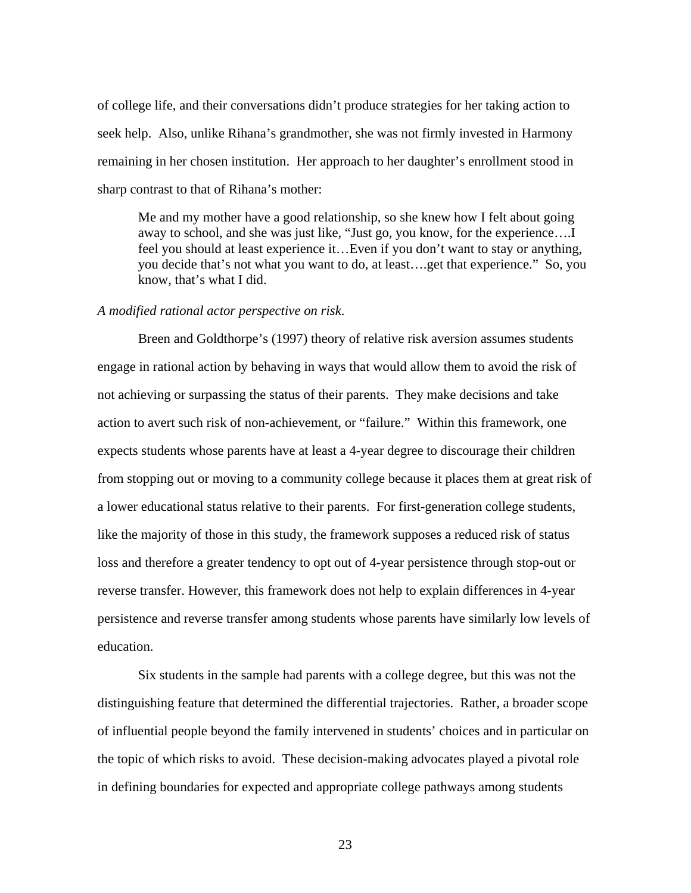of college life, and their conversations didn't produce strategies for her taking action to seek help. Also, unlike Rihana's grandmother, she was not firmly invested in Harmony remaining in her chosen institution. Her approach to her daughter's enrollment stood in sharp contrast to that of Rihana's mother:

Me and my mother have a good relationship, so she knew how I felt about going away to school, and she was just like, "Just go, you know, for the experience….I feel you should at least experience it…Even if you don't want to stay or anything, you decide that's not what you want to do, at least….get that experience." So, you know, that's what I did.

#### *A modified rational actor perspective on risk*.

 Breen and Goldthorpe's (1997) theory of relative risk aversion assumes students engage in rational action by behaving in ways that would allow them to avoid the risk of not achieving or surpassing the status of their parents. They make decisions and take action to avert such risk of non-achievement, or "failure." Within this framework, one expects students whose parents have at least a 4-year degree to discourage their children from stopping out or moving to a community college because it places them at great risk of a lower educational status relative to their parents. For first-generation college students, like the majority of those in this study, the framework supposes a reduced risk of status loss and therefore a greater tendency to opt out of 4-year persistence through stop-out or reverse transfer. However, this framework does not help to explain differences in 4-year persistence and reverse transfer among students whose parents have similarly low levels of education.

Six students in the sample had parents with a college degree, but this was not the distinguishing feature that determined the differential trajectories. Rather, a broader scope of influential people beyond the family intervened in students' choices and in particular on the topic of which risks to avoid. These decision-making advocates played a pivotal role in defining boundaries for expected and appropriate college pathways among students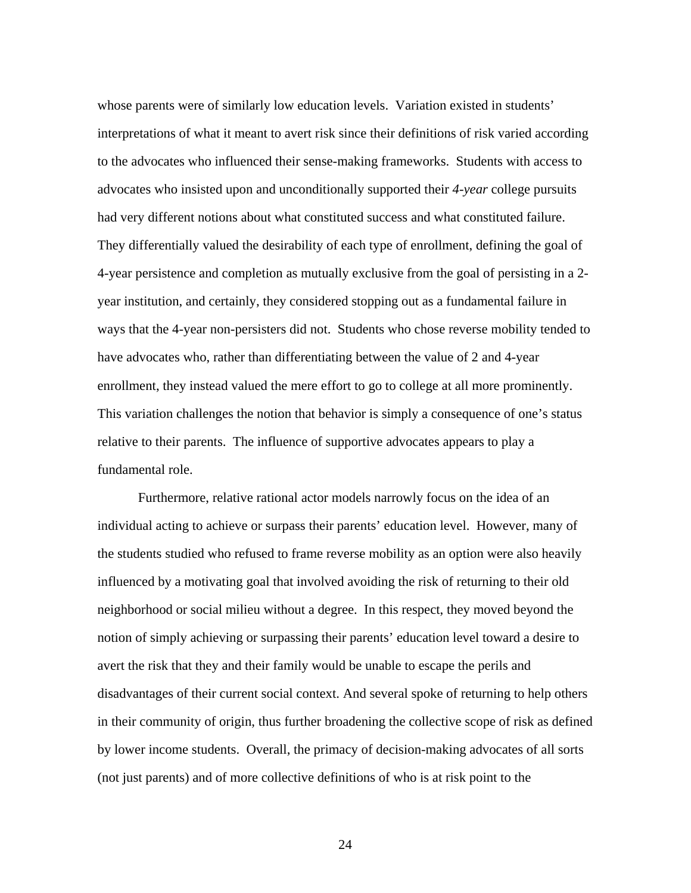whose parents were of similarly low education levels. Variation existed in students' interpretations of what it meant to avert risk since their definitions of risk varied according to the advocates who influenced their sense-making frameworks. Students with access to advocates who insisted upon and unconditionally supported their *4-year* college pursuits had very different notions about what constituted success and what constituted failure. They differentially valued the desirability of each type of enrollment, defining the goal of 4-year persistence and completion as mutually exclusive from the goal of persisting in a 2 year institution, and certainly, they considered stopping out as a fundamental failure in ways that the 4-year non-persisters did not. Students who chose reverse mobility tended to have advocates who, rather than differentiating between the value of 2 and 4-year enrollment, they instead valued the mere effort to go to college at all more prominently. This variation challenges the notion that behavior is simply a consequence of one's status relative to their parents. The influence of supportive advocates appears to play a fundamental role.

Furthermore, relative rational actor models narrowly focus on the idea of an individual acting to achieve or surpass their parents' education level. However, many of the students studied who refused to frame reverse mobility as an option were also heavily influenced by a motivating goal that involved avoiding the risk of returning to their old neighborhood or social milieu without a degree. In this respect, they moved beyond the notion of simply achieving or surpassing their parents' education level toward a desire to avert the risk that they and their family would be unable to escape the perils and disadvantages of their current social context. And several spoke of returning to help others in their community of origin, thus further broadening the collective scope of risk as defined by lower income students. Overall, the primacy of decision-making advocates of all sorts (not just parents) and of more collective definitions of who is at risk point to the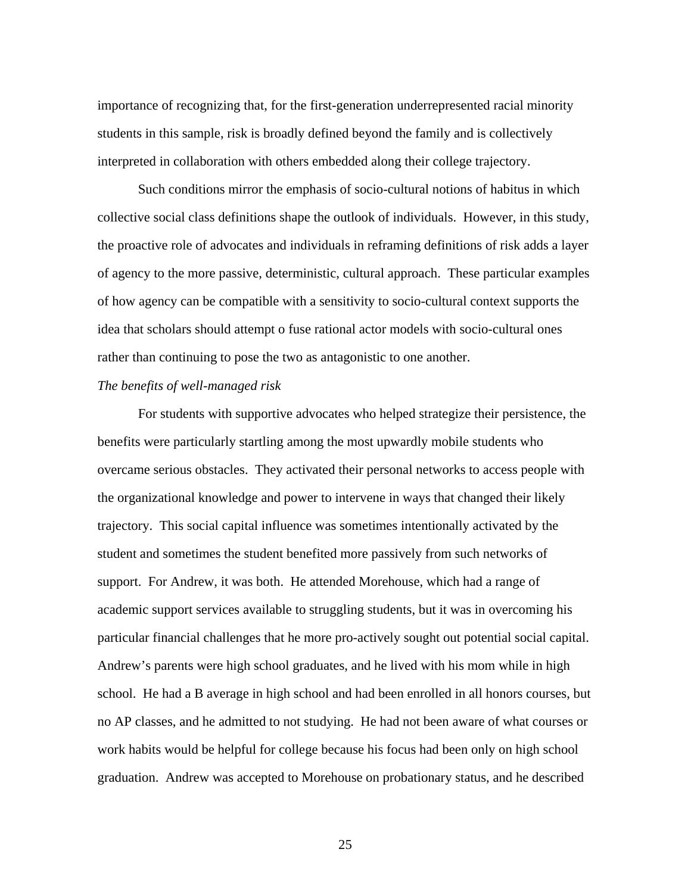importance of recognizing that, for the first-generation underrepresented racial minority students in this sample, risk is broadly defined beyond the family and is collectively interpreted in collaboration with others embedded along their college trajectory.

Such conditions mirror the emphasis of socio-cultural notions of habitus in which collective social class definitions shape the outlook of individuals. However, in this study, the proactive role of advocates and individuals in reframing definitions of risk adds a layer of agency to the more passive, deterministic, cultural approach. These particular examples of how agency can be compatible with a sensitivity to socio-cultural context supports the idea that scholars should attempt o fuse rational actor models with socio-cultural ones rather than continuing to pose the two as antagonistic to one another.

#### *The benefits of well-managed risk*

For students with supportive advocates who helped strategize their persistence, the benefits were particularly startling among the most upwardly mobile students who overcame serious obstacles. They activated their personal networks to access people with the organizational knowledge and power to intervene in ways that changed their likely trajectory. This social capital influence was sometimes intentionally activated by the student and sometimes the student benefited more passively from such networks of support. For Andrew, it was both. He attended Morehouse, which had a range of academic support services available to struggling students, but it was in overcoming his particular financial challenges that he more pro-actively sought out potential social capital. Andrew's parents were high school graduates, and he lived with his mom while in high school. He had a B average in high school and had been enrolled in all honors courses, but no AP classes, and he admitted to not studying. He had not been aware of what courses or work habits would be helpful for college because his focus had been only on high school graduation. Andrew was accepted to Morehouse on probationary status, and he described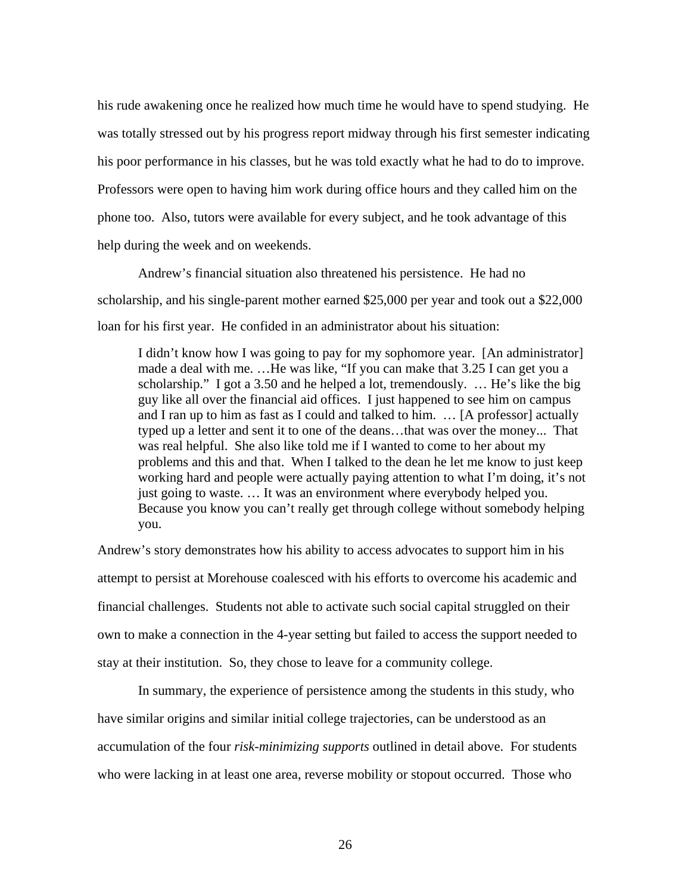his rude awakening once he realized how much time he would have to spend studying. He was totally stressed out by his progress report midway through his first semester indicating his poor performance in his classes, but he was told exactly what he had to do to improve. Professors were open to having him work during office hours and they called him on the phone too. Also, tutors were available for every subject, and he took advantage of this help during the week and on weekends.

 Andrew's financial situation also threatened his persistence. He had no scholarship, and his single-parent mother earned \$25,000 per year and took out a \$22,000 loan for his first year. He confided in an administrator about his situation:

 I didn't know how I was going to pay for my sophomore year. [An administrator] made a deal with me. …He was like, "If you can make that 3.25 I can get you a scholarship." I got a 3.50 and he helped a lot, tremendously. … He's like the big guy like all over the financial aid offices. I just happened to see him on campus and I ran up to him as fast as I could and talked to him. … [A professor] actually typed up a letter and sent it to one of the deans…that was over the money... That was real helpful. She also like told me if I wanted to come to her about my problems and this and that. When I talked to the dean he let me know to just keep working hard and people were actually paying attention to what I'm doing, it's not just going to waste. … It was an environment where everybody helped you. Because you know you can't really get through college without somebody helping you.

Andrew's story demonstrates how his ability to access advocates to support him in his attempt to persist at Morehouse coalesced with his efforts to overcome his academic and financial challenges. Students not able to activate such social capital struggled on their own to make a connection in the 4-year setting but failed to access the support needed to stay at their institution. So, they chose to leave for a community college.

 In summary, the experience of persistence among the students in this study, who have similar origins and similar initial college trajectories, can be understood as an accumulation of the four *risk-minimizing supports* outlined in detail above. For students who were lacking in at least one area, reverse mobility or stopout occurred. Those who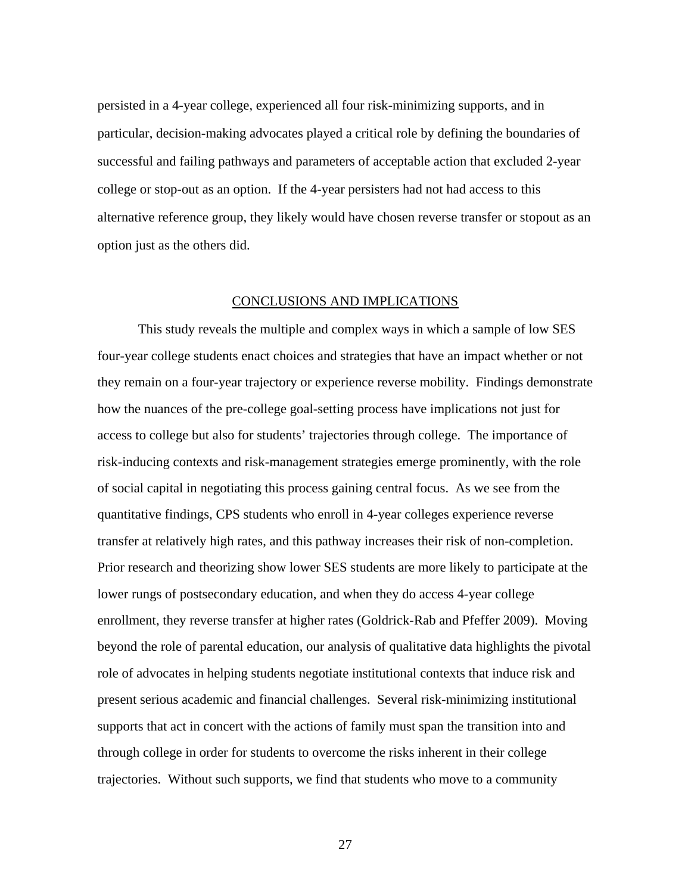persisted in a 4-year college, experienced all four risk-minimizing supports, and in particular, decision-making advocates played a critical role by defining the boundaries of successful and failing pathways and parameters of acceptable action that excluded 2-year college or stop-out as an option. If the 4-year persisters had not had access to this alternative reference group, they likely would have chosen reverse transfer or stopout as an option just as the others did.

#### CONCLUSIONS AND IMPLICATIONS

 This study reveals the multiple and complex ways in which a sample of low SES four-year college students enact choices and strategies that have an impact whether or not they remain on a four-year trajectory or experience reverse mobility. Findings demonstrate how the nuances of the pre-college goal-setting process have implications not just for access to college but also for students' trajectories through college. The importance of risk-inducing contexts and risk-management strategies emerge prominently, with the role of social capital in negotiating this process gaining central focus. As we see from the quantitative findings, CPS students who enroll in 4-year colleges experience reverse transfer at relatively high rates, and this pathway increases their risk of non-completion. Prior research and theorizing show lower SES students are more likely to participate at the lower rungs of postsecondary education, and when they do access 4-year college enrollment, they reverse transfer at higher rates (Goldrick-Rab and Pfeffer 2009). Moving beyond the role of parental education, our analysis of qualitative data highlights the pivotal role of advocates in helping students negotiate institutional contexts that induce risk and present serious academic and financial challenges. Several risk-minimizing institutional supports that act in concert with the actions of family must span the transition into and through college in order for students to overcome the risks inherent in their college trajectories. Without such supports, we find that students who move to a community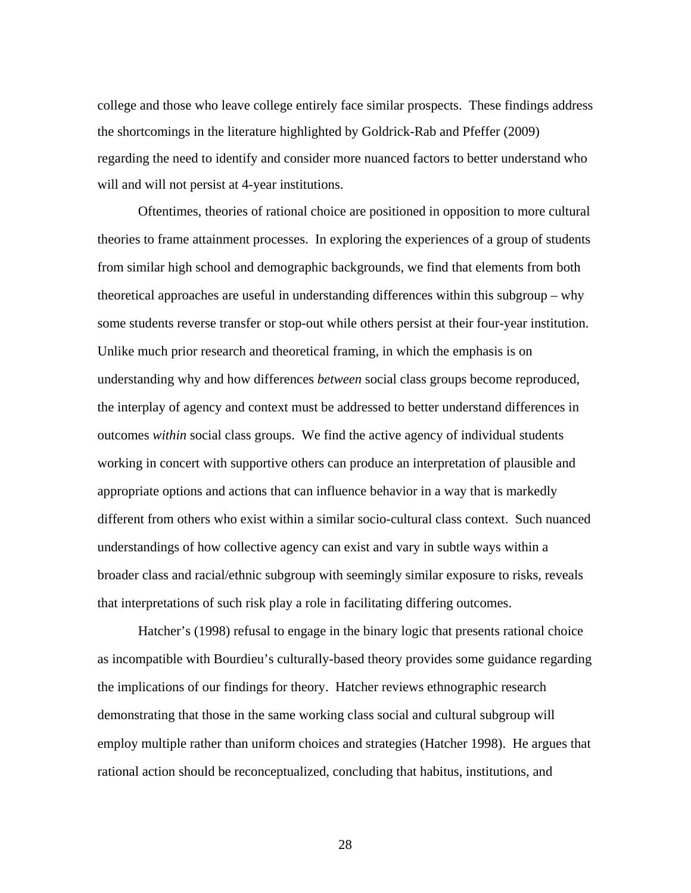college and those who leave college entirely face similar prospects. These findings address the shortcomings in the literature highlighted by Goldrick-Rab and Pfeffer (2009) regarding the need to identify and consider more nuanced factors to better understand who will and will not persist at 4-year institutions.

Oftentimes, theories of rational choice are positioned in opposition to more cultural theories to frame attainment processes. In exploring the experiences of a group of students from similar high school and demographic backgrounds, we find that elements from both theoretical approaches are useful in understanding differences within this subgroup – why some students reverse transfer or stop-out while others persist at their four-year institution. Unlike much prior research and theoretical framing, in which the emphasis is on understanding why and how differences *between* social class groups become reproduced, the interplay of agency and context must be addressed to better understand differences in outcomes *within* social class groups. We find the active agency of individual students working in concert with supportive others can produce an interpretation of plausible and appropriate options and actions that can influence behavior in a way that is markedly different from others who exist within a similar socio-cultural class context. Such nuanced understandings of how collective agency can exist and vary in subtle ways within a broader class and racial/ethnic subgroup with seemingly similar exposure to risks, reveals that interpretations of such risk play a role in facilitating differing outcomes.

Hatcher's (1998) refusal to engage in the binary logic that presents rational choice as incompatible with Bourdieu's culturally-based theory provides some guidance regarding the implications of our findings for theory. Hatcher reviews ethnographic research demonstrating that those in the same working class social and cultural subgroup will employ multiple rather than uniform choices and strategies (Hatcher 1998). He argues that rational action should be reconceptualized, concluding that habitus, institutions, and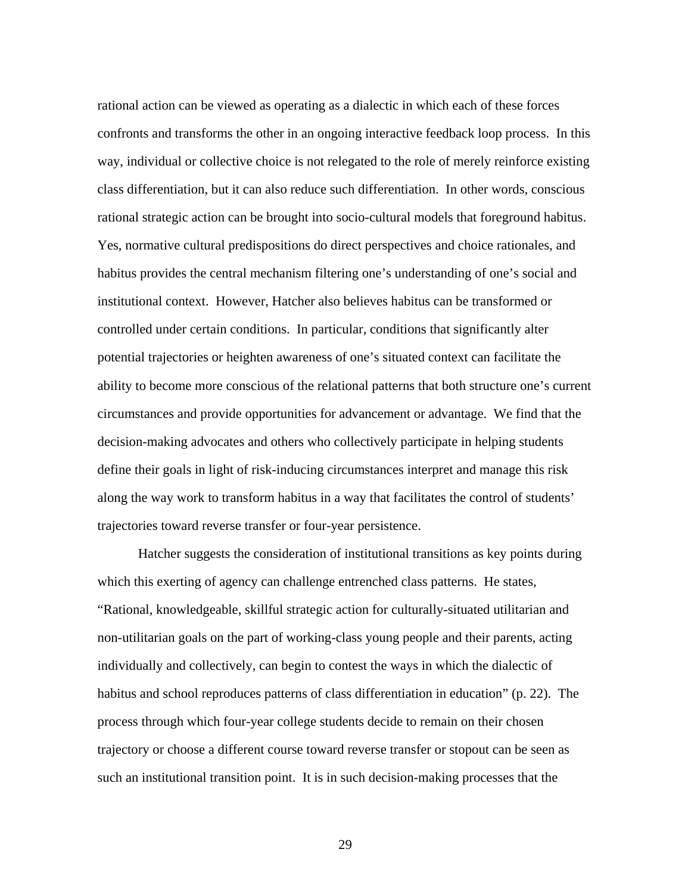rational action can be viewed as operating as a dialectic in which each of these forces confronts and transforms the other in an ongoing interactive feedback loop process. In this way, individual or collective choice is not relegated to the role of merely reinforce existing class differentiation, but it can also reduce such differentiation. In other words, conscious rational strategic action can be brought into socio-cultural models that foreground habitus. Yes, normative cultural predispositions do direct perspectives and choice rationales, and habitus provides the central mechanism filtering one's understanding of one's social and institutional context. However, Hatcher also believes habitus can be transformed or controlled under certain conditions. In particular, conditions that significantly alter potential trajectories or heighten awareness of one's situated context can facilitate the ability to become more conscious of the relational patterns that both structure one's current circumstances and provide opportunities for advancement or advantage. We find that the decision-making advocates and others who collectively participate in helping students define their goals in light of risk-inducing circumstances interpret and manage this risk along the way work to transform habitus in a way that facilitates the control of students' trajectories toward reverse transfer or four-year persistence.

Hatcher suggests the consideration of institutional transitions as key points during which this exerting of agency can challenge entrenched class patterns. He states, "Rational, knowledgeable, skillful strategic action for culturally-situated utilitarian and non-utilitarian goals on the part of working-class young people and their parents, acting individually and collectively, can begin to contest the ways in which the dialectic of habitus and school reproduces patterns of class differentiation in education" (p. 22). The process through which four-year college students decide to remain on their chosen trajectory or choose a different course toward reverse transfer or stopout can be seen as such an institutional transition point. It is in such decision-making processes that the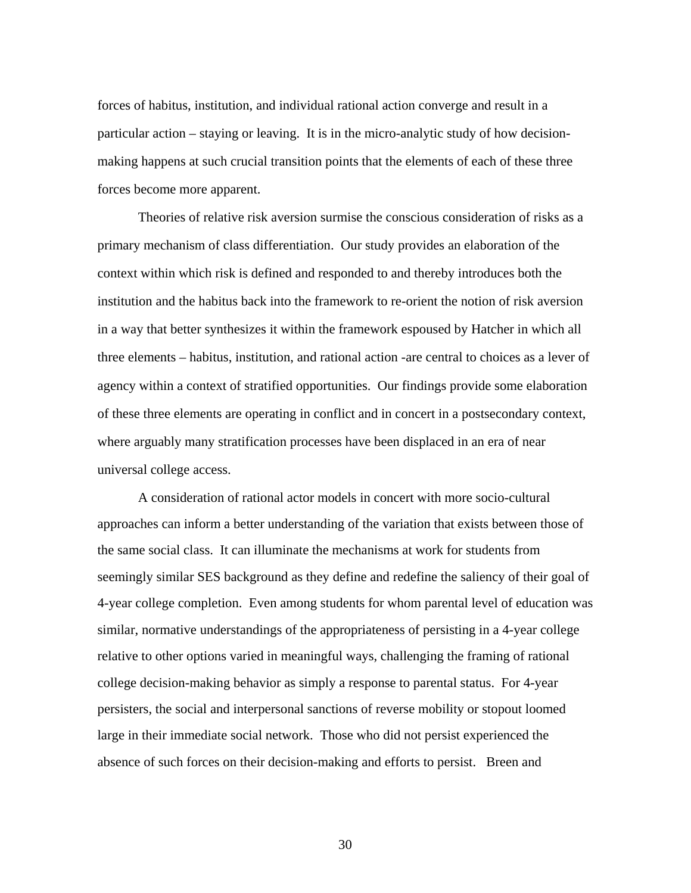forces of habitus, institution, and individual rational action converge and result in a particular action – staying or leaving. It is in the micro-analytic study of how decisionmaking happens at such crucial transition points that the elements of each of these three forces become more apparent.

Theories of relative risk aversion surmise the conscious consideration of risks as a primary mechanism of class differentiation. Our study provides an elaboration of the context within which risk is defined and responded to and thereby introduces both the institution and the habitus back into the framework to re-orient the notion of risk aversion in a way that better synthesizes it within the framework espoused by Hatcher in which all three elements – habitus, institution, and rational action -are central to choices as a lever of agency within a context of stratified opportunities. Our findings provide some elaboration of these three elements are operating in conflict and in concert in a postsecondary context, where arguably many stratification processes have been displaced in an era of near universal college access.

 A consideration of rational actor models in concert with more socio-cultural approaches can inform a better understanding of the variation that exists between those of the same social class. It can illuminate the mechanisms at work for students from seemingly similar SES background as they define and redefine the saliency of their goal of 4-year college completion. Even among students for whom parental level of education was similar, normative understandings of the appropriateness of persisting in a 4-year college relative to other options varied in meaningful ways, challenging the framing of rational college decision-making behavior as simply a response to parental status. For 4-year persisters, the social and interpersonal sanctions of reverse mobility or stopout loomed large in their immediate social network. Those who did not persist experienced the absence of such forces on their decision-making and efforts to persist. Breen and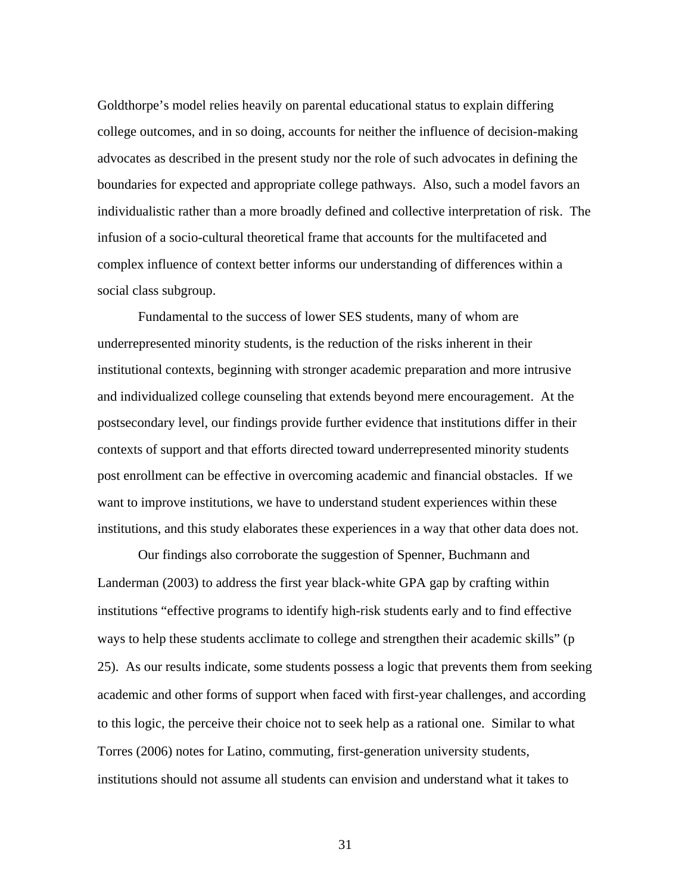Goldthorpe's model relies heavily on parental educational status to explain differing college outcomes, and in so doing, accounts for neither the influence of decision-making advocates as described in the present study nor the role of such advocates in defining the boundaries for expected and appropriate college pathways. Also, such a model favors an individualistic rather than a more broadly defined and collective interpretation of risk. The infusion of a socio-cultural theoretical frame that accounts for the multifaceted and complex influence of context better informs our understanding of differences within a social class subgroup.

 Fundamental to the success of lower SES students, many of whom are underrepresented minority students, is the reduction of the risks inherent in their institutional contexts, beginning with stronger academic preparation and more intrusive and individualized college counseling that extends beyond mere encouragement. At the postsecondary level, our findings provide further evidence that institutions differ in their contexts of support and that efforts directed toward underrepresented minority students post enrollment can be effective in overcoming academic and financial obstacles. If we want to improve institutions, we have to understand student experiences within these institutions, and this study elaborates these experiences in a way that other data does not.

Our findings also corroborate the suggestion of Spenner, Buchmann and Landerman (2003) to address the first year black-white GPA gap by crafting within institutions "effective programs to identify high-risk students early and to find effective ways to help these students acclimate to college and strengthen their academic skills" (p 25). As our results indicate, some students possess a logic that prevents them from seeking academic and other forms of support when faced with first-year challenges, and according to this logic, the perceive their choice not to seek help as a rational one. Similar to what Torres (2006) notes for Latino, commuting, first-generation university students, institutions should not assume all students can envision and understand what it takes to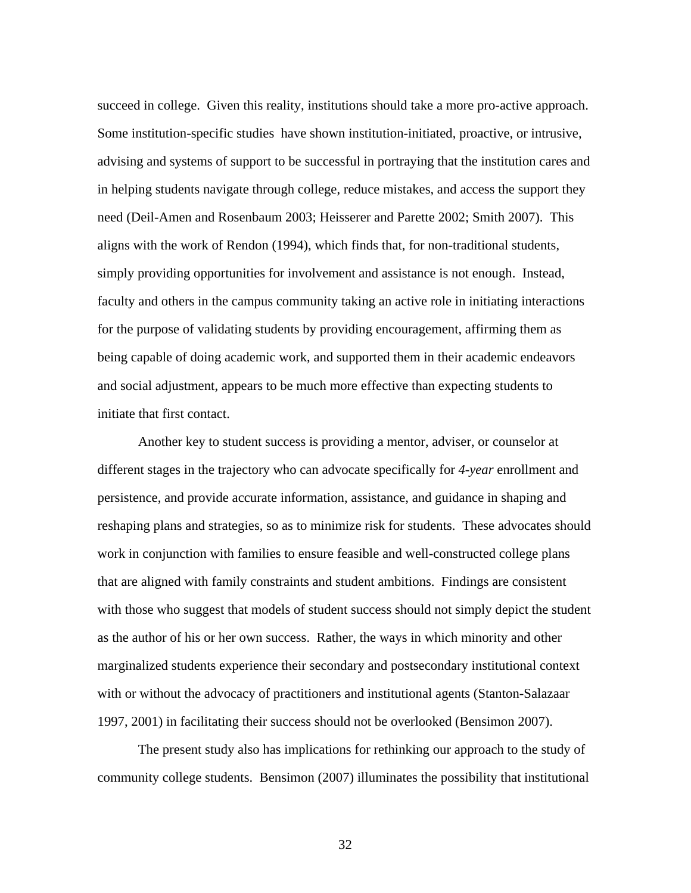succeed in college. Given this reality, institutions should take a more pro-active approach. Some institution-specific studies have shown institution-initiated, proactive, or intrusive, advising and systems of support to be successful in portraying that the institution cares and in helping students navigate through college, reduce mistakes, and access the support they need (Deil-Amen and Rosenbaum 2003; Heisserer and Parette 2002; Smith 2007). This aligns with the work of Rendon (1994), which finds that, for non-traditional students, simply providing opportunities for involvement and assistance is not enough. Instead, faculty and others in the campus community taking an active role in initiating interactions for the purpose of validating students by providing encouragement, affirming them as being capable of doing academic work, and supported them in their academic endeavors and social adjustment, appears to be much more effective than expecting students to initiate that first contact.

 Another key to student success is providing a mentor, adviser, or counselor at different stages in the trajectory who can advocate specifically for *4-year* enrollment and persistence, and provide accurate information, assistance, and guidance in shaping and reshaping plans and strategies, so as to minimize risk for students. These advocates should work in conjunction with families to ensure feasible and well-constructed college plans that are aligned with family constraints and student ambitions. Findings are consistent with those who suggest that models of student success should not simply depict the student as the author of his or her own success. Rather, the ways in which minority and other marginalized students experience their secondary and postsecondary institutional context with or without the advocacy of practitioners and institutional agents (Stanton-Salazaar 1997, 2001) in facilitating their success should not be overlooked (Bensimon 2007).

The present study also has implications for rethinking our approach to the study of community college students. Bensimon (2007) illuminates the possibility that institutional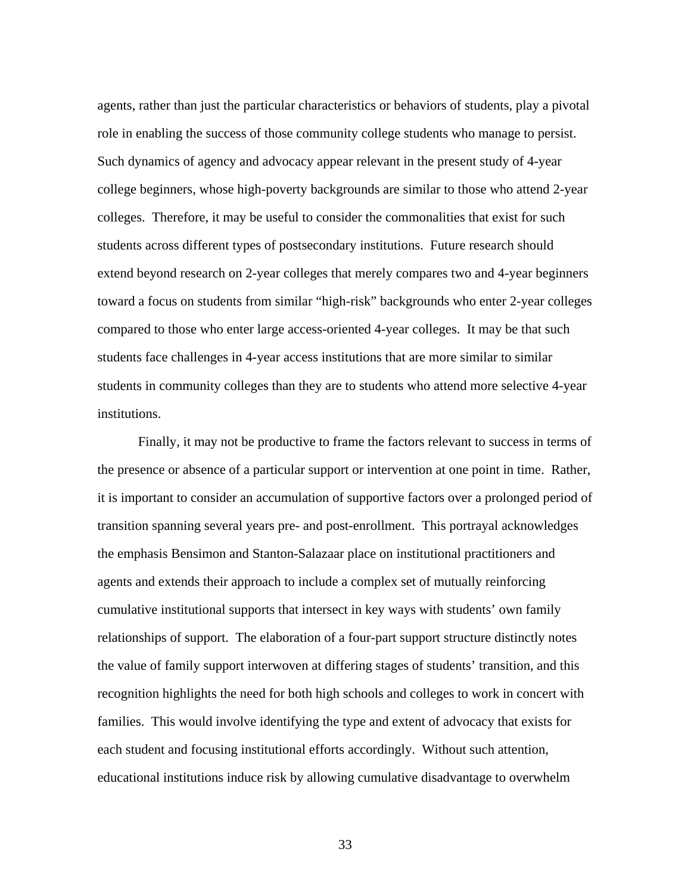agents, rather than just the particular characteristics or behaviors of students, play a pivotal role in enabling the success of those community college students who manage to persist. Such dynamics of agency and advocacy appear relevant in the present study of 4-year college beginners, whose high-poverty backgrounds are similar to those who attend 2-year colleges. Therefore, it may be useful to consider the commonalities that exist for such students across different types of postsecondary institutions. Future research should extend beyond research on 2-year colleges that merely compares two and 4-year beginners toward a focus on students from similar "high-risk" backgrounds who enter 2-year colleges compared to those who enter large access-oriented 4-year colleges. It may be that such students face challenges in 4-year access institutions that are more similar to similar students in community colleges than they are to students who attend more selective 4-year institutions.

Finally, it may not be productive to frame the factors relevant to success in terms of the presence or absence of a particular support or intervention at one point in time. Rather, it is important to consider an accumulation of supportive factors over a prolonged period of transition spanning several years pre- and post-enrollment. This portrayal acknowledges the emphasis Bensimon and Stanton-Salazaar place on institutional practitioners and agents and extends their approach to include a complex set of mutually reinforcing cumulative institutional supports that intersect in key ways with students' own family relationships of support. The elaboration of a four-part support structure distinctly notes the value of family support interwoven at differing stages of students' transition, and this recognition highlights the need for both high schools and colleges to work in concert with families. This would involve identifying the type and extent of advocacy that exists for each student and focusing institutional efforts accordingly. Without such attention, educational institutions induce risk by allowing cumulative disadvantage to overwhelm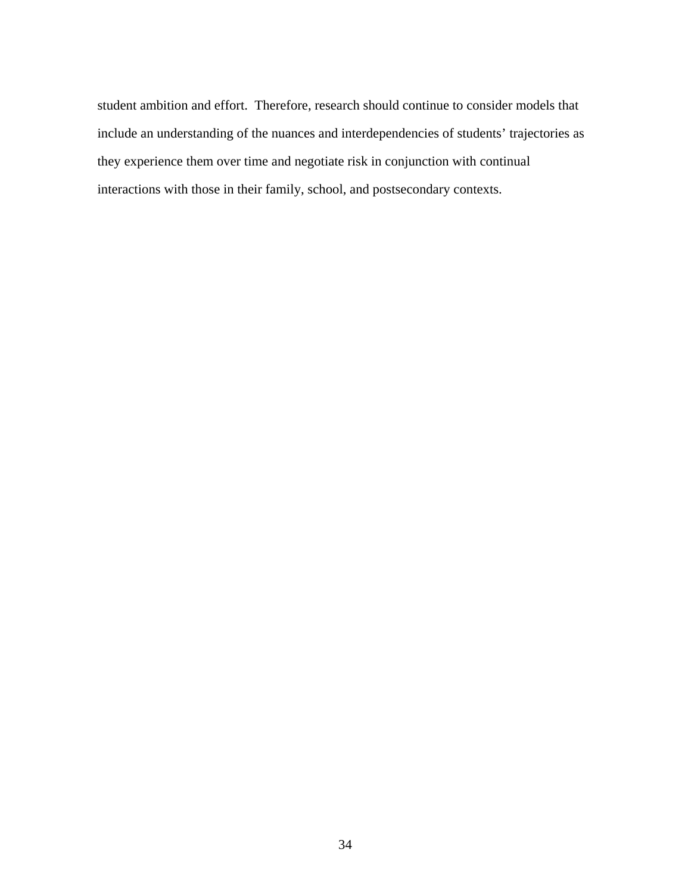student ambition and effort. Therefore, research should continue to consider models that include an understanding of the nuances and interdependencies of students' trajectories as they experience them over time and negotiate risk in conjunction with continual interactions with those in their family, school, and postsecondary contexts.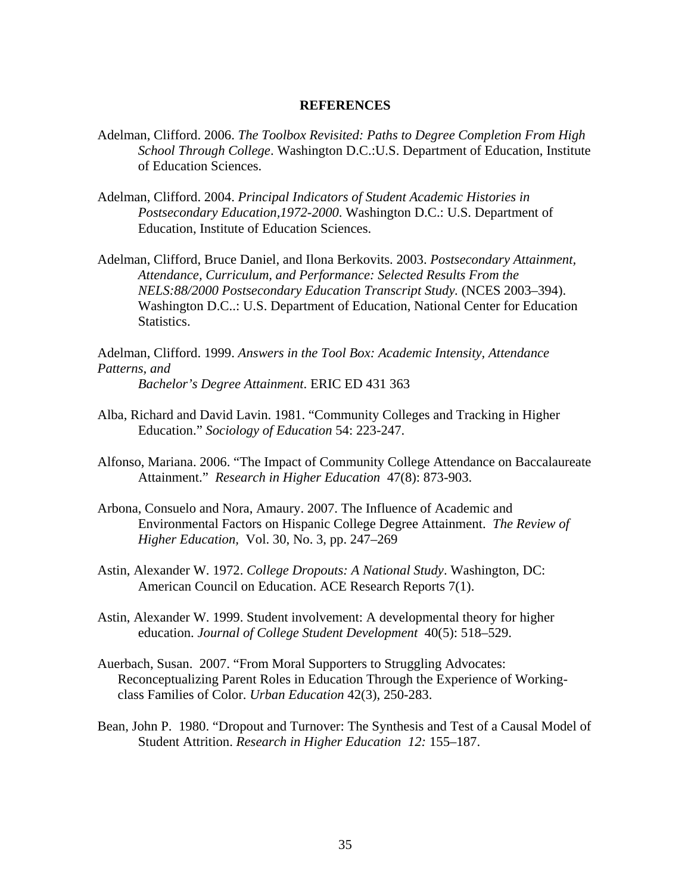#### **REFERENCES**

- Adelman, Clifford. 2006. *The Toolbox Revisited: Paths to Degree Completion From High School Through College*. Washington D.C.:U.S. Department of Education, Institute of Education Sciences.
- Adelman, Clifford. 2004. *Principal Indicators of Student Academic Histories in Postsecondary Education,1972-2000*. Washington D.C.: U.S. Department of Education, Institute of Education Sciences.
- Adelman, Clifford, Bruce Daniel, and Ilona Berkovits. 2003. *Postsecondary Attainment, Attendance, Curriculum, and Performance: Selected Results From the NELS:88/2000 Postsecondary Education Transcript Study.* (NCES 2003–394). Washington D.C..: U.S. Department of Education, National Center for Education Statistics.

Adelman, Clifford. 1999. *Answers in the Tool Box: Academic Intensity, Attendance Patterns, and Bachelor's Degree Attainment*. ERIC ED 431 363

- Alba, Richard and David Lavin. 1981. "Community Colleges and Tracking in Higher Education." *Sociology of Education* 54: 223-247.
- Alfonso, Mariana. 2006. "The Impact of Community College Attendance on Baccalaureate Attainment." *Research in Higher Education* 47(8): 873-903.
- Arbona, Consuelo and Nora, Amaury. 2007. The Influence of Academic and Environmental Factors on Hispanic College Degree Attainment. *The Review of Higher Education,* Vol. 30, No. 3, pp. 247–269
- Astin, Alexander W. 1972. *College Dropouts: A National Study*. Washington, DC: American Council on Education. ACE Research Reports 7(1).
- Astin, Alexander W. 1999. Student involvement: A developmental theory for higher education. *Journal of College Student Development* 40(5): 518–529.
- Auerbach, Susan. 2007. "From Moral Supporters to Struggling Advocates: Reconceptualizing Parent Roles in Education Through the Experience of Workingclass Families of Color. *Urban Education* 42(3), 250-283.
- Bean, John P. 1980. "Dropout and Turnover: The Synthesis and Test of a Causal Model of Student Attrition. *Research in Higher Education 12:* 155–187.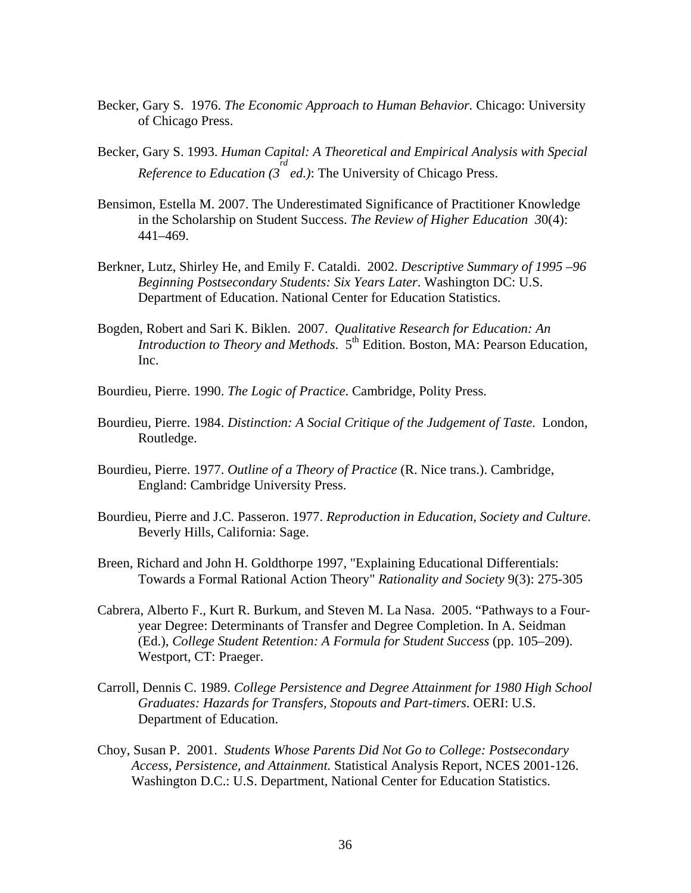- Becker, Gary S. 1976. *The Economic Approach to Human Behavior.* Chicago: University of Chicago Press.
- Becker, Gary S. 1993. *Human Capital: A Theoretical and Empirical Analysis with Special Reference to Education (3 rd ed.)*: The University of Chicago Press.
- Bensimon, Estella M. 2007. The Underestimated Significance of Practitioner Knowledge in the Scholarship on Student Success. *The Review of Higher Education 3*0(4): 441–469.
- Berkner, Lutz, Shirley He, and Emily F. Cataldi. 2002. *Descriptive Summary of 1995 –96 Beginning Postsecondary Students: Six Years Later*. Washington DC: U.S. Department of Education. National Center for Education Statistics.
- Bogden, Robert and Sari K. Biklen. 2007. *Qualitative Research for Education: An Introduction to Theory and Methods*. 5th Edition. Boston, MA: Pearson Education, Inc.
- Bourdieu, Pierre. 1990. *The Logic of Practice*. Cambridge, Polity Press.
- Bourdieu, Pierre. 1984. *Distinction: A Social Critique of the Judgement of Taste*. London, Routledge.
- Bourdieu, Pierre. 1977. *Outline of a Theory of Practice* (R. Nice trans.). Cambridge, England: Cambridge University Press.
- Bourdieu, Pierre and J.C. Passeron. 1977. *Reproduction in Education, Society and Culture*. Beverly Hills, California: Sage.
- Breen, Richard and John H. Goldthorpe 1997, "Explaining Educational Differentials: Towards a Formal Rational Action Theory" *Rationality and Society* 9(3): 275-305
- Cabrera, Alberto F., Kurt R. Burkum, and Steven M. La Nasa. 2005. "Pathways to a Fouryear Degree: Determinants of Transfer and Degree Completion. In A. Seidman (Ed.), *College Student Retention: A Formula for Student Success* (pp. 105–209). Westport, CT: Praeger.
- Carroll, Dennis C. 1989. *College Persistence and Degree Attainment for 1980 High School Graduates: Hazards for Transfers, Stopouts and Part-timers*. OERI: U.S. Department of Education.
- Choy, Susan P. 2001. *Students Whose Parents Did Not Go to College: Postsecondary Access, Persistence, and Attainment.* Statistical Analysis Report, NCES 2001-126. Washington D.C.: U.S. Department, National Center for Education Statistics.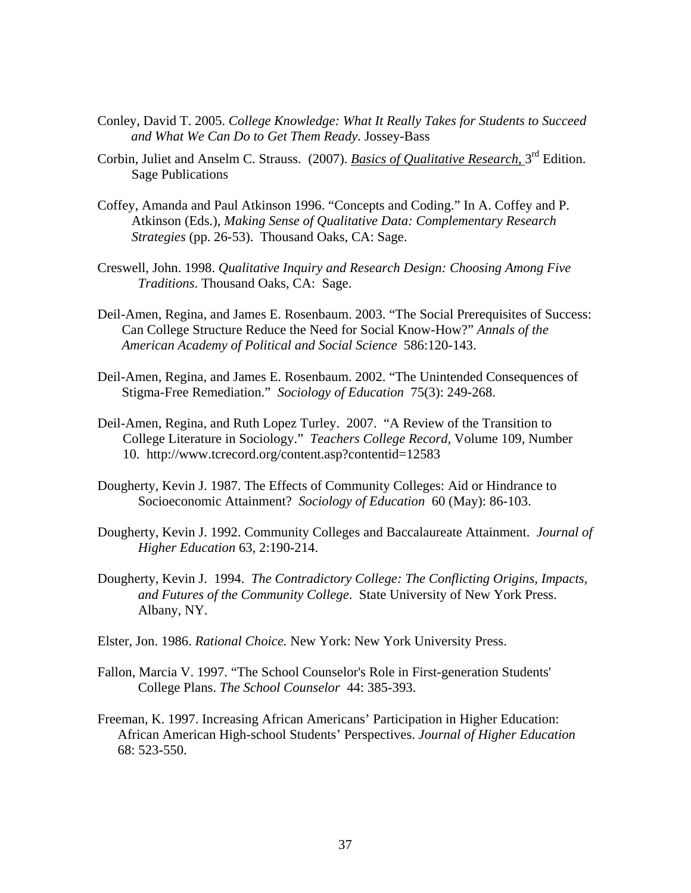- Conley, David T. 2005. *College Knowledge: What It Really Takes for Students to Succeed and What We Can Do to Get Them Ready.* Jossey-Bass
- Corbin, Juliet and Anselm C. Strauss. (2007). *Basics of Qualitative Research*, 3rd Edition. Sage Publications
- Coffey, Amanda and Paul Atkinson 1996. "Concepts and Coding." In A. Coffey and P. Atkinson (Eds.), *Making Sense of Qualitative Data: Complementary Research Strategies* (pp. 26-53). Thousand Oaks, CA: Sage.
- Creswell, John. 1998. *Qualitative Inquiry and Research Design: Choosing Among Five Traditions*. Thousand Oaks, CA: Sage.
- Deil-Amen, Regina, and James E. Rosenbaum. 2003. "The Social Prerequisites of Success: Can College Structure Reduce the Need for Social Know-How?" *Annals of the American Academy of Political and Social Science* 586:120-143.
- Deil-Amen, Regina, and James E. Rosenbaum. 2002. "The Unintended Consequences of Stigma-Free Remediation." *Sociology of Education* 75(3): 249-268.
- Deil-Amen, Regina, and Ruth Lopez Turley. 2007. "A Review of the Transition to College Literature in Sociology." *Teachers College Record,* Volume 109, Number 10. http://www.tcrecord.org/content.asp?contentid=12583
- Dougherty, Kevin J. 1987. The Effects of Community Colleges: Aid or Hindrance to Socioeconomic Attainment? *Sociology of Education* 60 (May): 86-103.
- Dougherty, Kevin J. 1992. Community Colleges and Baccalaureate Attainment. *Journal of Higher Education* 63, 2:190-214.
- Dougherty, Kevin J. 1994. *The Contradictory College: The Conflicting Origins, Impacts, and Futures of the Community College*. State University of New York Press. Albany, NY.
- Elster, Jon. 1986. *Rational Choice.* New York: New York University Press.
- Fallon, Marcia V. 1997. "The School Counselor's Role in First-generation Students' College Plans. *The School Counselor* 44: 385-393.
- Freeman, K. 1997. Increasing African Americans' Participation in Higher Education: African American High-school Students' Perspectives. *Journal of Higher Education* 68: 523-550.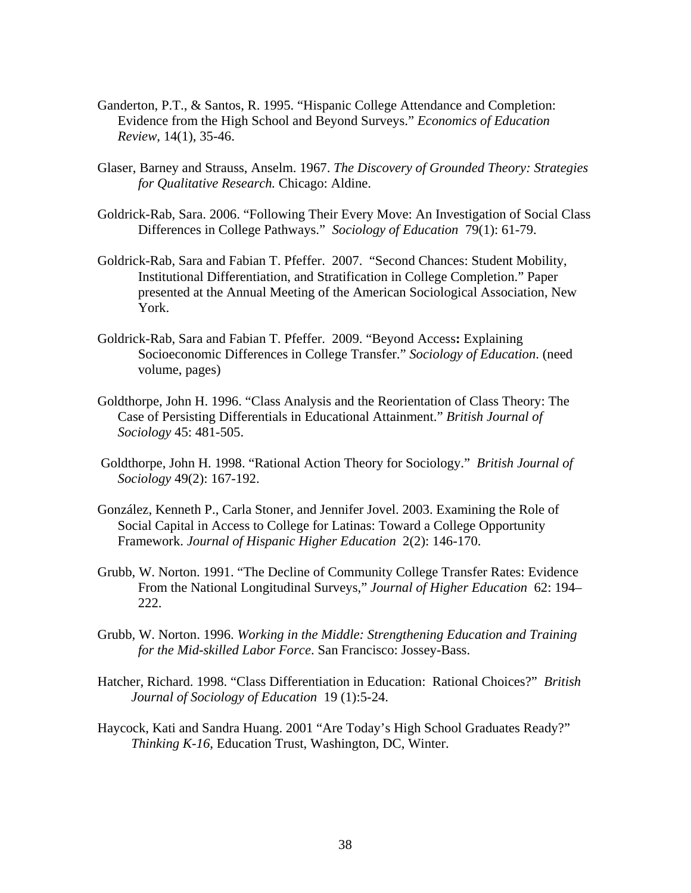- Ganderton, P.T., & Santos, R. 1995. "Hispanic College Attendance and Completion: Evidence from the High School and Beyond Surveys." *Economics of Education Review*, 14(1), 35-46.
- Glaser, Barney and Strauss, Anselm. 1967. *The Discovery of Grounded Theory: Strategies for Qualitative Research.* Chicago: Aldine.
- Goldrick-Rab, Sara. 2006. "Following Their Every Move: An Investigation of Social Class Differences in College Pathways." *Sociology of Education* 79(1): 61-79.
- Goldrick-Rab, Sara and Fabian T. Pfeffer. 2007. "Second Chances: Student Mobility, Institutional Differentiation, and Stratification in College Completion." Paper presented at the Annual Meeting of the American Sociological Association, New York.
- Goldrick-Rab, Sara and Fabian T. Pfeffer. 2009. "Beyond Access**:** Explaining Socioeconomic Differences in College Transfer." *Sociology of Education*. (need volume, pages)
- Goldthorpe, John H. 1996. "Class Analysis and the Reorientation of Class Theory: The Case of Persisting Differentials in Educational Attainment." *British Journal of Sociology* 45: 481-505.
- Goldthorpe, John H. 1998. "Rational Action Theory for Sociology." *British Journal of Sociology* 49(2): 167-192.
- González, Kenneth P., Carla Stoner, and Jennifer Jovel. 2003. Examining the Role of Social Capital in Access to College for Latinas: Toward a College Opportunity Framework. *Journal of Hispanic Higher Education* 2(2): 146-170.
- Grubb, W. Norton. 1991. "The Decline of Community College Transfer Rates: Evidence From the National Longitudinal Surveys," *Journal of Higher Education* 62: 194– 222.
- Grubb, W. Norton. 1996. *Working in the Middle: Strengthening Education and Training for the Mid-skilled Labor Force*. San Francisco: Jossey-Bass.
- Hatcher, Richard. 1998. "Class Differentiation in Education: Rational Choices?" *British Journal of Sociology of Education* 19 (1):5-24.
- Haycock, Kati and Sandra Huang. 2001 "Are Today's High School Graduates Ready?" *Thinking K-16*, Education Trust, Washington, DC, Winter.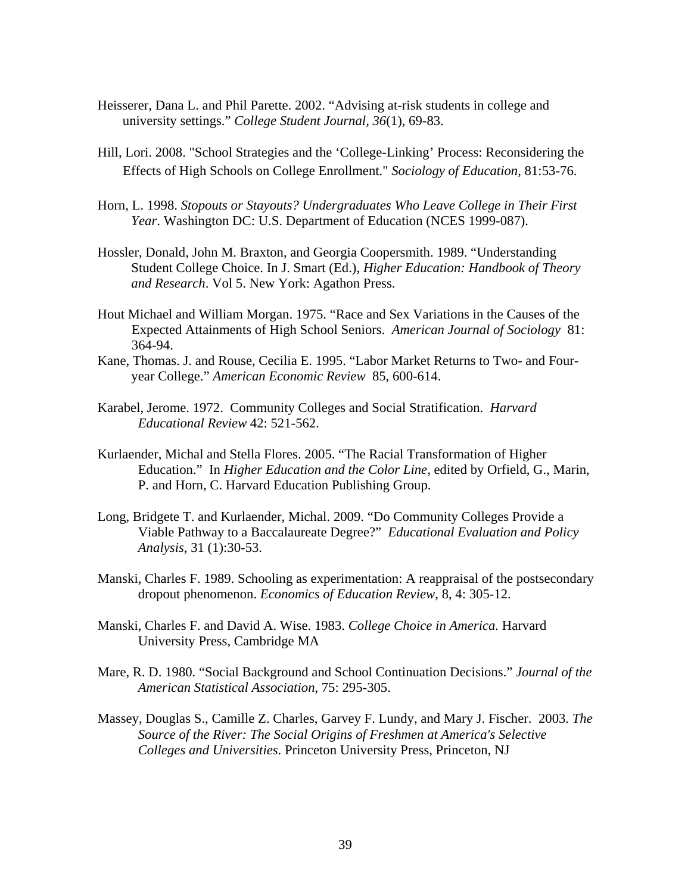- Heisserer, Dana L. and Phil Parette. 2002. "Advising at-risk students in college and university settings." *College Student Journal, 36*(1), 69-83.
- Hill, Lori. 2008. "School Strategies and the 'College-Linking' Process: Reconsidering the Effects of High Schools on College Enrollment." *Sociology of Education,* 81:53-76.
- Horn, L. 1998. *Stopouts or Stayouts? Undergraduates Who Leave College in Their First Year*. Washington DC: U.S. Department of Education (NCES 1999-087).
- Hossler, Donald, John M. Braxton, and Georgia Coopersmith. 1989. "Understanding Student College Choice. In J. Smart (Ed.), *Higher Education: Handbook of Theory and Research*. Vol 5. New York: Agathon Press.
- Hout Michael and William Morgan. 1975. "Race and Sex Variations in the Causes of the Expected Attainments of High School Seniors. *American Journal of Sociology* 81: 364-94.
- Kane, Thomas. J. and Rouse, Cecilia E. 1995. "Labor Market Returns to Two- and Fouryear College." *American Economic Review* 85, 600-614.
- Karabel, Jerome. 1972. Community Colleges and Social Stratification. *Harvard Educational Review* 42: 521-562.
- Kurlaender, Michal and Stella Flores. 2005. "The Racial Transformation of Higher Education." In *Higher Education and the Color Line*, edited by Orfield, G., Marin, P. and Horn, C. Harvard Education Publishing Group.
- Long, Bridgete T. and Kurlaender, Michal. 2009. "Do Community Colleges Provide a Viable Pathway to a Baccalaureate Degree?" *Educational Evaluation and Policy Analysis*, 31 (1):30-53.
- Manski, Charles F. 1989. Schooling as experimentation: A reappraisal of the postsecondary dropout phenomenon. *Economics of Education Review*, 8, 4: 305-12.
- Manski, Charles F. and David A. Wise. 1983. *College Choice in America.* Harvard University Press, Cambridge MA
- Mare, R. D. 1980. "Social Background and School Continuation Decisions." *Journal of the American Statistical Association*, 75: 295-305.
- Massey, Douglas S., Camille Z. Charles, Garvey F. Lundy, and Mary J. Fischer. 2003. *The Source of the River: The Social Origins of Freshmen at America's Selective Colleges and Universities*. Princeton University Press, Princeton, NJ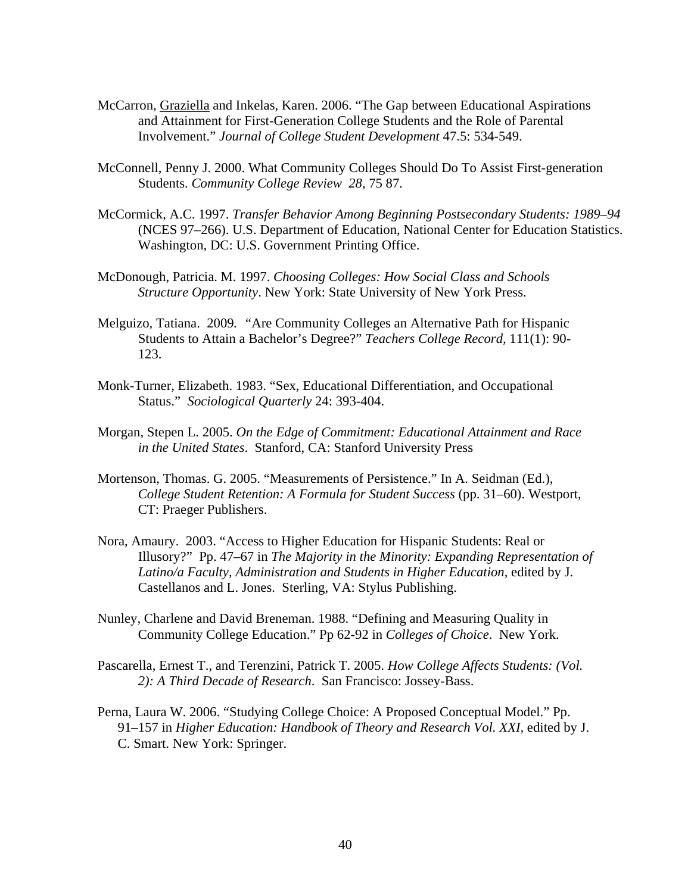- McCarron, Graziella and Inkelas, Karen. 2006. "The Gap between Educational Aspirations and Attainment for First-Generation College Students and the Role of Parental Involvement." *Journal of College Student Development* 47.5: 534-549.
- McConnell, Penny J. 2000. What Community Colleges Should Do To Assist First-generation Students. *Community College Review 28,* 75 87.
- McCormick, A.C. 1997. *Transfer Behavior Among Beginning Postsecondary Students: 1989–94* (NCES 97–266). U.S. Department of Education, National Center for Education Statistics. Washington, DC: U.S. Government Printing Office.
- McDonough, Patricia. M. 1997. *Choosing Colleges: How Social Class and Schools Structure Opportunity*. New York: State University of New York Press.
- Melguizo, Tatiana. 2009*. "*Are Community Colleges an Alternative Path for Hispanic Students to Attain a Bachelor's Degree?" *Teachers College Record,* 111(1): 90- 123.
- Monk-Turner, Elizabeth. 1983. "Sex, Educational Differentiation, and Occupational Status." *Sociological Quarterly* 24: 393-404.
- Morgan, Stepen L. 2005. *On the Edge of Commitment: Educational Attainment and Race in the United States*. Stanford, CA: Stanford University Press
- Mortenson, Thomas. G. 2005. "Measurements of Persistence." In A. Seidman (Ed.), *College Student Retention: A Formula for Student Success* (pp. 31–60). Westport, CT: Praeger Publishers.
- Nora, Amaury. 2003. "Access to Higher Education for Hispanic Students: Real or Illusory?" Pp. 47–67 in *The Majority in the Minority: Expanding Representation of*  Latino/a Faculty, Administration and Students in Higher Education, edited by J. Castellanos and L. Jones. Sterling, VA: Stylus Publishing.
- Nunley, Charlene and David Breneman. 1988. "Defining and Measuring Quality in Community College Education." Pp 62-92 in *Colleges of Choice*. New York.
- Pascarella, Ernest T., and Terenzini, Patrick T. 2005. *How College Affects Students: (Vol. 2): A Third Decade of Research*. San Francisco: Jossey-Bass.
- Perna, Laura W. 2006. "Studying College Choice: A Proposed Conceptual Model." Pp. 91–157 in *Higher Education: Handbook of Theory and Research Vol. XXI*, edited by J. C. Smart. New York: Springer.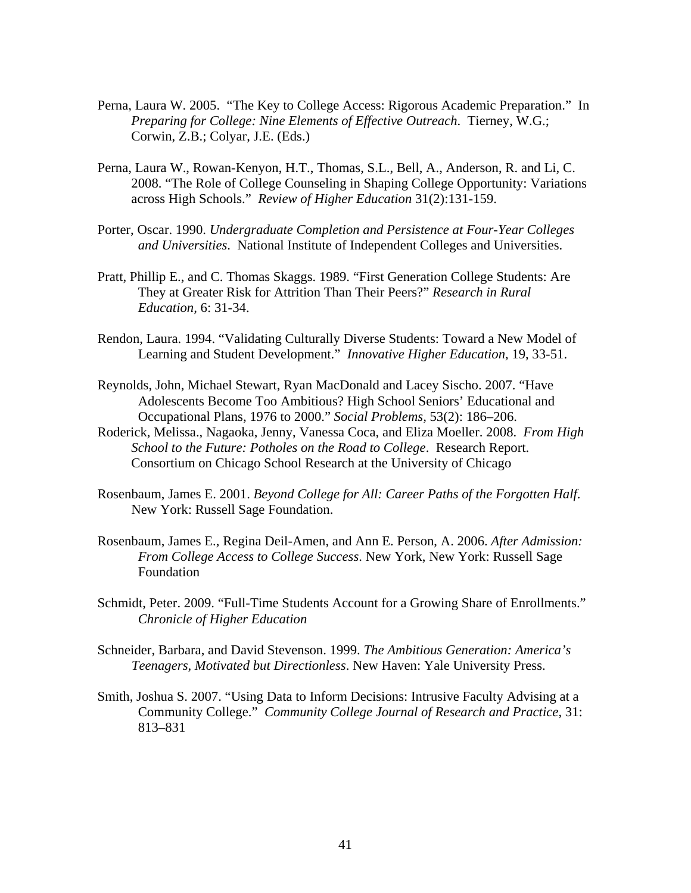- Perna, Laura W. 2005. "The Key to College Access: Rigorous Academic Preparation." In *Preparing for College: Nine Elements of Effective Outreach*. Tierney, W.G.; Corwin, Z.B.; Colyar, J.E. (Eds.)
- Perna, Laura W., Rowan-Kenyon, H.T., Thomas, S.L., Bell, A., Anderson, R. and Li, C. 2008. "The Role of College Counseling in Shaping College Opportunity: Variations across High Schools." *Review of Higher Education* 31(2):131-159.
- Porter, Oscar. 1990. *Undergraduate Completion and Persistence at Four-Year Colleges and Universities*. National Institute of Independent Colleges and Universities.
- Pratt, Phillip E., and C. Thomas Skaggs. 1989. "First Generation College Students: Are They at Greater Risk for Attrition Than Their Peers?" *Research in Rural Education,* 6: 31-34.
- Rendon, Laura. 1994. "Validating Culturally Diverse Students: Toward a New Model of Learning and Student Development." *Innovative Higher Education*, 19, 33-51.
- Reynolds, John, Michael Stewart, Ryan MacDonald and Lacey Sischo. 2007. "Have Adolescents Become Too Ambitious? High School Seniors' Educational and Occupational Plans, 1976 to 2000." *Social Problems,* 53(2): 186–206.
- Roderick, Melissa., Nagaoka, Jenny, Vanessa Coca, and Eliza Moeller. 2008. *From High School to the Future: Potholes on the Road to College*. Research Report. Consortium on Chicago School Research at the University of Chicago
- Rosenbaum, James E. 2001. *Beyond College for All: Career Paths of the Forgotten Half*. New York: Russell Sage Foundation.
- Rosenbaum, James E., Regina Deil-Amen, and Ann E. Person, A. 2006. *After Admission: From College Access to College Success*. New York, New York: Russell Sage Foundation
- Schmidt, Peter. 2009. "Full-Time Students Account for a Growing Share of Enrollments." *Chronicle of Higher Education*
- Schneider, Barbara, and David Stevenson. 1999. *The Ambitious Generation: America's Teenagers, Motivated but Directionless*. New Haven: Yale University Press.
- Smith, Joshua S. 2007. "Using Data to Inform Decisions: Intrusive Faculty Advising at a Community College." *Community College Journal of Research and Practice*, 31: 813–831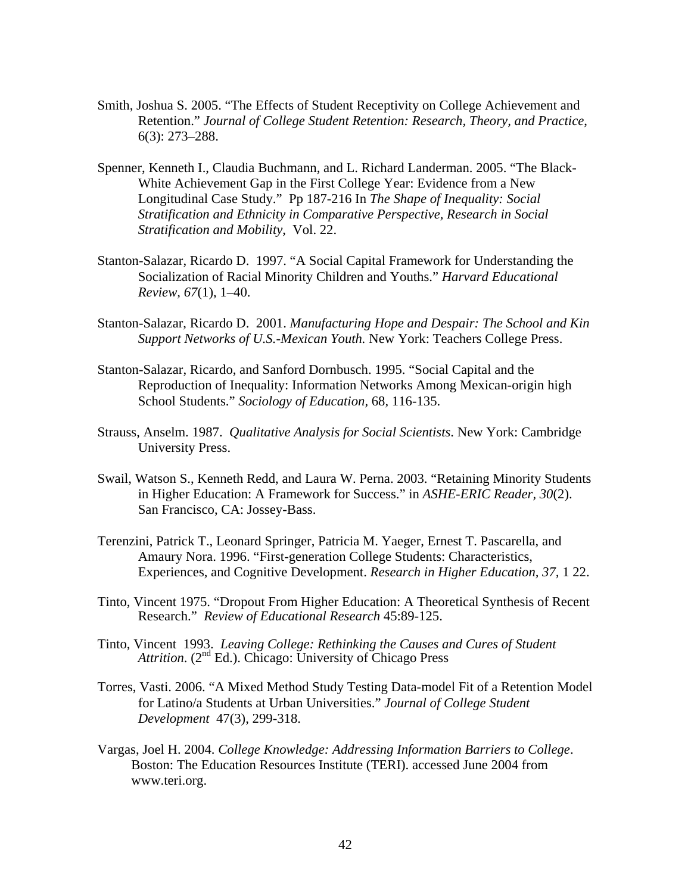- Smith, Joshua S. 2005. "The Effects of Student Receptivity on College Achievement and Retention." *Journal of College Student Retention: Research, Theory, and Practice*, 6(3): 273–288.
- Spenner, Kenneth I., Claudia Buchmann, and L. Richard Landerman. 2005. "The Black-White Achievement Gap in the First College Year: Evidence from a New Longitudinal Case Study." Pp 187-216 In *The Shape of Inequality: Social Stratification and Ethnicity in Comparative Perspective, Research in Social Stratification and Mobility*, Vol. 22.
- Stanton-Salazar, Ricardo D. 1997. "A Social Capital Framework for Understanding the Socialization of Racial Minority Children and Youths." *Harvard Educational Review, 67*(1), 1–40.
- Stanton-Salazar, Ricardo D. 2001. *Manufacturing Hope and Despair: The School and Kin Support Networks of U.S.-Mexican Youth.* New York: Teachers College Press.
- Stanton-Salazar, Ricardo, and Sanford Dornbusch. 1995. "Social Capital and the Reproduction of Inequality: Information Networks Among Mexican-origin high School Students." *Sociology of Education,* 68*,* 116-135.
- Strauss, Anselm. 1987. *Qualitative Analysis for Social Scientists*. New York: Cambridge University Press.
- Swail, Watson S., Kenneth Redd, and Laura W. Perna. 2003. "Retaining Minority Students in Higher Education: A Framework for Success." in *ASHE-ERIC Reader, 30*(2). San Francisco, CA: Jossey-Bass.
- Terenzini, Patrick T., Leonard Springer, Patricia M. Yaeger, Ernest T. Pascarella, and Amaury Nora. 1996. "First-generation College Students: Characteristics, Experiences, and Cognitive Development. *Research in Higher Education, 37,* 1 22.
- Tinto, Vincent 1975. "Dropout From Higher Education: A Theoretical Synthesis of Recent Research." *Review of Educational Research* 45:89-125.
- Tinto, Vincent 1993. *Leaving College: Rethinking the Causes and Cures of Student Attrition.* (2<sup>nd</sup> Ed.). Chicago: University of Chicago Press
- Torres, Vasti. 2006. "A Mixed Method Study Testing Data-model Fit of a Retention Model for Latino/a Students at Urban Universities." *Journal of College Student Development* 47(3), 299-318.
- Vargas, Joel H. 2004. *College Knowledge: Addressing Information Barriers to College*. Boston: The Education Resources Institute (TERI). accessed June 2004 from www.teri.org.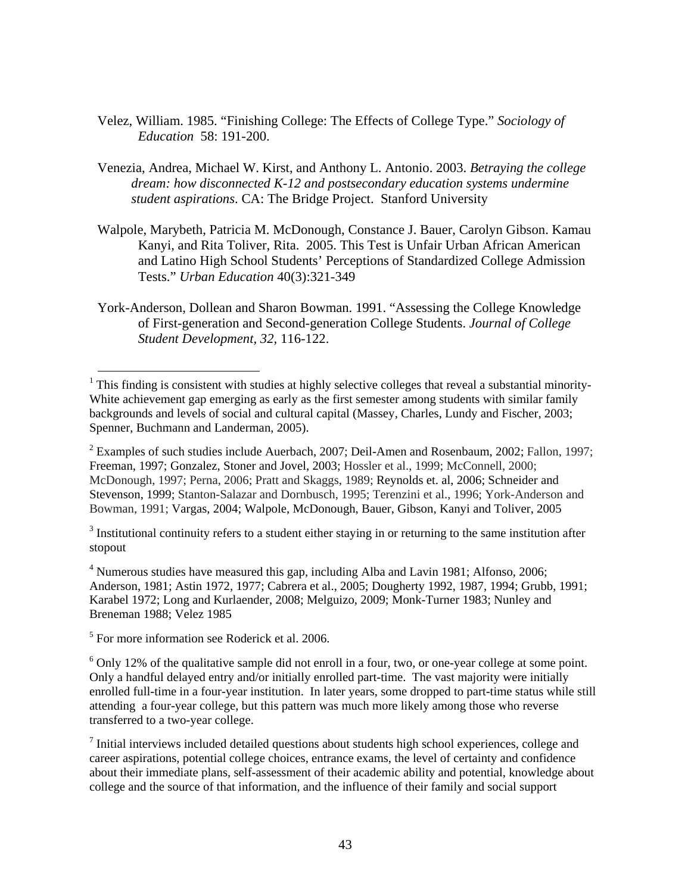- Velez, William. 1985. "Finishing College: The Effects of College Type." *Sociology of Education* 58: 191-200.
- Venezia, Andrea, Michael W. Kirst, and Anthony L. Antonio. 2003. *Betraying the college dream: how disconnected K-12 and postsecondary education systems undermine student aspirations*. CA: The Bridge Project. Stanford University
- Walpole, Marybeth, Patricia M. McDonough, Constance J. Bauer, Carolyn Gibson. Kamau Kanyi, and Rita Toliver, Rita. 2005. This Test is Unfair Urban African American and Latino High School Students' Perceptions of Standardized College Admission Tests." *Urban Education* 40(3):321-349
- York-Anderson, Dollean and Sharon Bowman. 1991. "Assessing the College Knowledge of First-generation and Second-generation College Students. *Journal of College Student Development, 32,* 116-122.

 $3$  Institutional continuity refers to a student either staying in or returning to the same institution after stopout

<sup>4</sup> Numerous studies have measured this gap, including Alba and Lavin 1981; Alfonso, 2006; Anderson, 1981; Astin 1972, 1977; Cabrera et al., 2005; Dougherty 1992, 1987, 1994; Grubb, 1991; Karabel 1972; Long and Kurlaender, 2008; Melguizo, 2009; Monk-Turner 1983; Nunley and Breneman 1988; Velez 1985

<sup>5</sup> For more information see Roderick et al. 2006.

 $\overline{a}$ 

 $1$  This finding is consistent with studies at highly selective colleges that reveal a substantial minority-White achievement gap emerging as early as the first semester among students with similar family backgrounds and levels of social and cultural capital (Massey, Charles, Lundy and Fischer, 2003; Spenner, Buchmann and Landerman, 2005).

<sup>&</sup>lt;sup>2</sup> Examples of such studies include Auerbach, 2007; Deil-Amen and Rosenbaum, 2002; Fallon, 1997; Freeman, 1997; Gonzalez, Stoner and Jovel, 2003; Hossler et al., 1999; McConnell, 2000; McDonough, 1997; Perna, 2006; Pratt and Skaggs, 1989; Reynolds et. al, 2006; Schneider and Stevenson, 1999; Stanton-Salazar and Dornbusch, 1995; Terenzini et al., 1996; York-Anderson and Bowman, 1991; Vargas, 2004; Walpole, McDonough, Bauer, Gibson, Kanyi and Toliver, 2005

 $6$  Only 12% of the qualitative sample did not enroll in a four, two, or one-year college at some point. Only a handful delayed entry and/or initially enrolled part-time. The vast majority were initially enrolled full-time in a four-year institution. In later years, some dropped to part-time status while still attending a four-year college, but this pattern was much more likely among those who reverse transferred to a two-year college.

 $<sup>7</sup>$  Initial interviews included detailed questions about students high school experiences, college and</sup> career aspirations, potential college choices, entrance exams, the level of certainty and confidence about their immediate plans, self-assessment of their academic ability and potential, knowledge about college and the source of that information, and the influence of their family and social support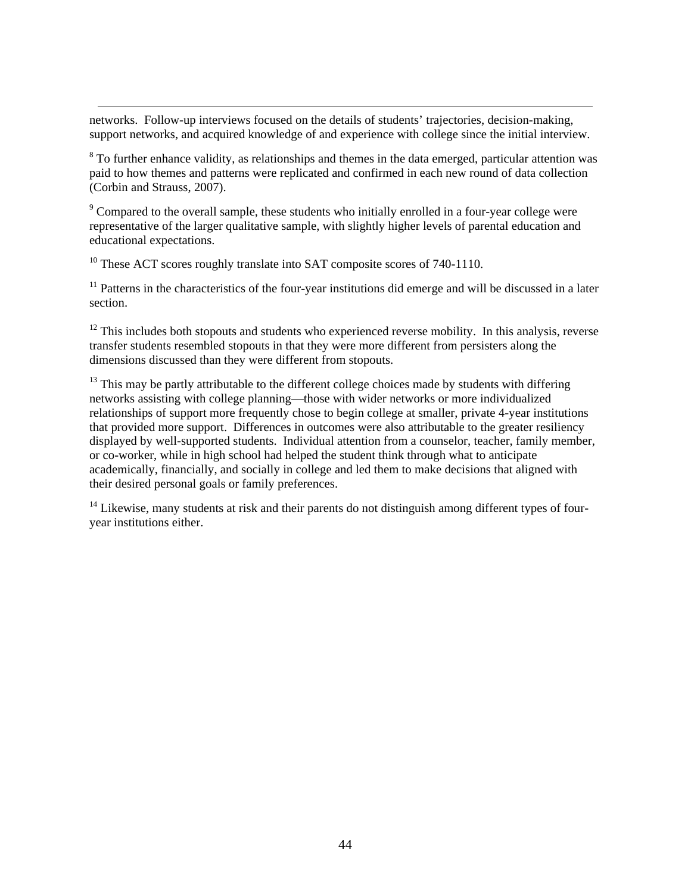networks. Follow-up interviews focused on the details of students' trajectories, decision-making, support networks, and acquired knowledge of and experience with college since the initial interview.

 $8$  To further enhance validity, as relationships and themes in the data emerged, particular attention was paid to how themes and patterns were replicated and confirmed in each new round of data collection (Corbin and Strauss, 2007).

 $9^9$  Compared to the overall sample, these students who initially enrolled in a four-year college were representative of the larger qualitative sample, with slightly higher levels of parental education and educational expectations.

 $10$  These ACT scores roughly translate into SAT composite scores of 740-1110.

 $\overline{a}$ 

 $11$  Patterns in the characteristics of the four-year institutions did emerge and will be discussed in a later section.

 $12$  This includes both stopouts and students who experienced reverse mobility. In this analysis, reverse transfer students resembled stopouts in that they were more different from persisters along the dimensions discussed than they were different from stopouts.

 $13$  This may be partly attributable to the different college choices made by students with differing networks assisting with college planning—those with wider networks or more individualized relationships of support more frequently chose to begin college at smaller, private 4-year institutions that provided more support. Differences in outcomes were also attributable to the greater resiliency displayed by well-supported students. Individual attention from a counselor, teacher, family member, or co-worker, while in high school had helped the student think through what to anticipate academically, financially, and socially in college and led them to make decisions that aligned with their desired personal goals or family preferences.

 $14$  Likewise, many students at risk and their parents do not distinguish among different types of fouryear institutions either.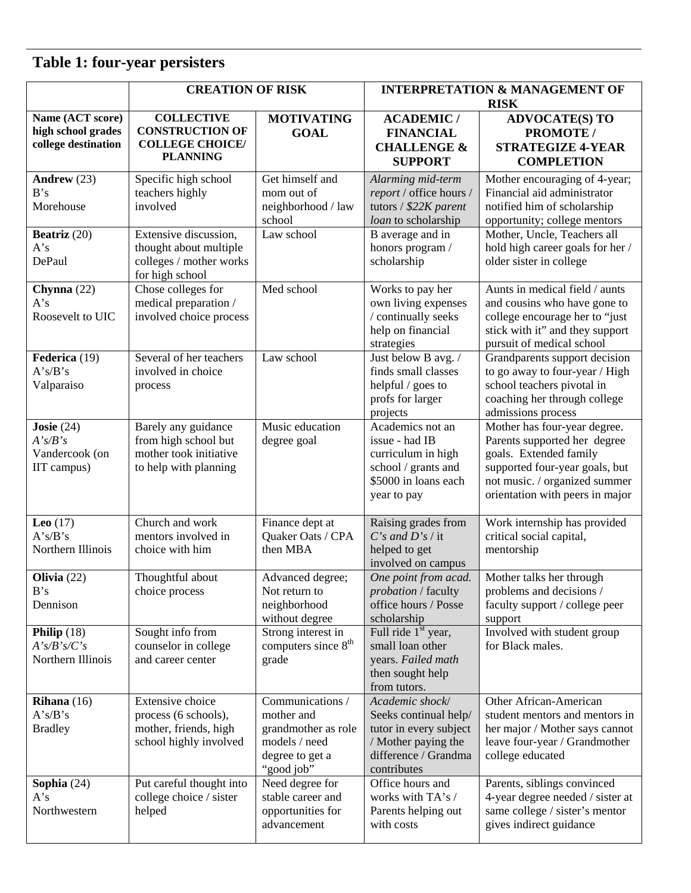## **Table 1: four-year persisters**

|                                                               | <b>CREATION OF RISK</b>                                                                        |                                                                                                         | <b>INTERPRETATION &amp; MANAGEMENT OF</b><br><b>RISK</b>                                                                         |                                                                                                                                                                                              |
|---------------------------------------------------------------|------------------------------------------------------------------------------------------------|---------------------------------------------------------------------------------------------------------|----------------------------------------------------------------------------------------------------------------------------------|----------------------------------------------------------------------------------------------------------------------------------------------------------------------------------------------|
| Name (ACT score)<br>high school grades<br>college destination | <b>COLLECTIVE</b><br><b>CONSTRUCTION OF</b><br><b>COLLEGE CHOICE/</b><br><b>PLANNING</b>       | <b>MOTIVATING</b><br><b>GOAL</b>                                                                        | <b>ACADEMIC/</b><br><b>FINANCIAL</b><br><b>CHALLENGE &amp;</b><br><b>SUPPORT</b>                                                 | <b>ADVOCATE(S) TO</b><br>PROMOTE /<br><b>STRATEGIZE 4-YEAR</b><br><b>COMPLETION</b>                                                                                                          |
| Andrew (23)<br>B's<br>Morehouse                               | Specific high school<br>teachers highly<br>involved                                            | Get himself and<br>mom out of<br>neighborhood / law<br>school                                           | Alarming mid-term<br>report / office hours /<br>tutors / \$22K parent<br>loan to scholarship                                     | Mother encouraging of 4-year;<br>Financial aid administrator<br>notified him of scholarship<br>opportunity; college mentors                                                                  |
| Beatriz (20)<br>A's<br>DePaul                                 | Extensive discussion,<br>thought about multiple<br>colleges / mother works<br>for high school  | Law school                                                                                              | B average and in<br>honors program /<br>scholarship                                                                              | Mother, Uncle, Teachers all<br>hold high career goals for her /<br>older sister in college                                                                                                   |
| Chynna (22)<br>A's<br>Roosevelt to UIC                        | Chose colleges for<br>medical preparation /<br>involved choice process                         | Med school                                                                                              | Works to pay her<br>own living expenses<br>/ continually seeks<br>help on financial<br>strategies                                | Aunts in medical field / aunts<br>and cousins who have gone to<br>college encourage her to "just<br>stick with it" and they support<br>pursuit of medical school                             |
| Federica (19)<br>A's/B's<br>Valparaiso                        | Several of her teachers<br>involved in choice<br>process                                       | Law school                                                                                              | Just below B avg. /<br>finds small classes<br>helpful / goes to<br>profs for larger<br>projects                                  | Grandparents support decision<br>to go away to four-year / High<br>school teachers pivotal in<br>coaching her through college<br>admissions process                                          |
| Josie $(24)$<br>A's/B's<br>Vandercook (on<br>IIT campus)      | Barely any guidance<br>from high school but<br>mother took initiative<br>to help with planning | Music education<br>degree goal                                                                          | Academics not an<br>issue - had IB<br>curriculum in high<br>school / grants and<br>\$5000 in loans each<br>year to pay           | Mother has four-year degree.<br>Parents supported her degree<br>goals. Extended family<br>supported four-year goals, but<br>not music. / organized summer<br>orientation with peers in major |
| Leo $(17)$<br>A's/B's<br>Northern Illinois                    | Church and work<br>mentors involved in<br>choice with him                                      | Finance dept at<br>Quaker Oats / CPA<br>then MBA                                                        | Raising grades from<br>$C's$ and $D's$ / it<br>helped to get<br>involved on campus                                               | Work internship has provided<br>critical social capital,<br>mentorship                                                                                                                       |
| Olivia $(22)$<br>B's<br>Dennison                              | Thoughtful about<br>choice process                                                             | Advanced degree;<br>Not return to<br>neighborhood<br>without degree                                     | One point from acad.<br><i>probation</i> / faculty<br>office hours / Posse<br>scholarship                                        | Mother talks her through<br>problems and decisions /<br>faculty support / college peer<br>support                                                                                            |
| Philip $(18)$<br>A's/B's/C's<br>Northern Illinois             | Sought info from<br>counselor in college<br>and career center                                  | Strong interest in<br>computers since 8 <sup>th</sup><br>grade                                          | Full ride $1st$ year,<br>small loan other<br>years. Failed math<br>then sought help<br>from tutors.                              | Involved with student group<br>for Black males.                                                                                                                                              |
| Rihana $(16)$<br>A's/B's<br><b>Bradley</b>                    | Extensive choice<br>process (6 schools),<br>mother, friends, high<br>school highly involved    | Communications /<br>mother and<br>grandmother as role<br>models / need<br>degree to get a<br>"good job" | Academic shock/<br>Seeks continual help/<br>tutor in every subject<br>/ Mother paying the<br>difference / Grandma<br>contributes | Other African-American<br>student mentors and mentors in<br>her major / Mother says cannot<br>leave four-year / Grandmother<br>college educated                                              |
| Sophia $(24)$<br>A's<br>Northwestern                          | Put careful thought into<br>college choice / sister<br>helped                                  | Need degree for<br>stable career and<br>opportunities for<br>advancement                                | Office hours and<br>works with TA's /<br>Parents helping out<br>with costs                                                       | Parents, siblings convinced<br>4-year degree needed / sister at<br>same college / sister's mentor<br>gives indirect guidance                                                                 |